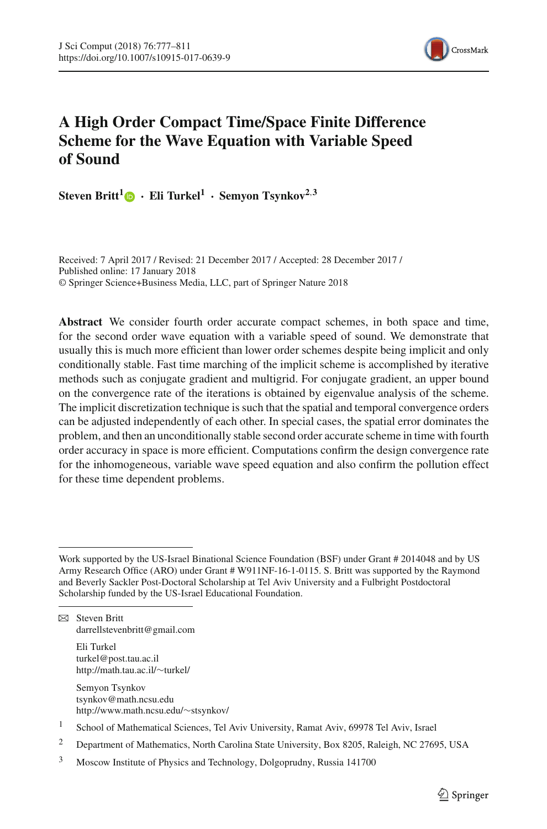

# **A High Order Compact Time/Space Finite Difference Scheme for the Wave Equation with Variable Speed of Sound**

**Steven Britt<sup>[1](http://orcid.org/0000-0003-4155-9401)</sup>**  $\bullet$  **<b>·** Eli Turkel<sup>1</sup> **· Semyon Tsynkov**<sup>2,3</sup>

Received: 7 April 2017 / Revised: 21 December 2017 / Accepted: 28 December 2017 / Published online: 17 January 2018 © Springer Science+Business Media, LLC, part of Springer Nature 2018

**Abstract** We consider fourth order accurate compact schemes, in both space and time, for the second order wave equation with a variable speed of sound. We demonstrate that usually this is much more efficient than lower order schemes despite being implicit and only conditionally stable. Fast time marching of the implicit scheme is accomplished by iterative methods such as conjugate gradient and multigrid. For conjugate gradient, an upper bound on the convergence rate of the iterations is obtained by eigenvalue analysis of the scheme. The implicit discretization technique is such that the spatial and temporal convergence orders can be adjusted independently of each other. In special cases, the spatial error dominates the problem, and then an unconditionally stable second order accurate scheme in time with fourth order accuracy in space is more efficient. Computations confirm the design convergence rate for the inhomogeneous, variable wave speed equation and also confirm the pollution effect for these time dependent problems.

 $\boxtimes$  Steven Britt darrellstevenbritt@gmail.com

> Eli Turkel turkel@post.tau.ac.il http://math.tau.ac.il/∼turkel/

Semyon Tsynkov tsynkov@math.ncsu.edu http://www.math.ncsu.edu/∼stsynkov/

<sup>2</sup> Department of Mathematics, North Carolina State University, Box 8205, Raleigh, NC 27695, USA

Work supported by the US-Israel Binational Science Foundation (BSF) under Grant # 2014048 and by US Army Research Office (ARO) under Grant # W911NF-16-1-0115. S. Britt was supported by the Raymond and Beverly Sackler Post-Doctoral Scholarship at Tel Aviv University and a Fulbright Postdoctoral Scholarship funded by the US-Israel Educational Foundation.

<sup>1</sup> School of Mathematical Sciences, Tel Aviv University, Ramat Aviv, 69978 Tel Aviv, Israel

<sup>3</sup> Moscow Institute of Physics and Technology, Dolgoprudny, Russia 141700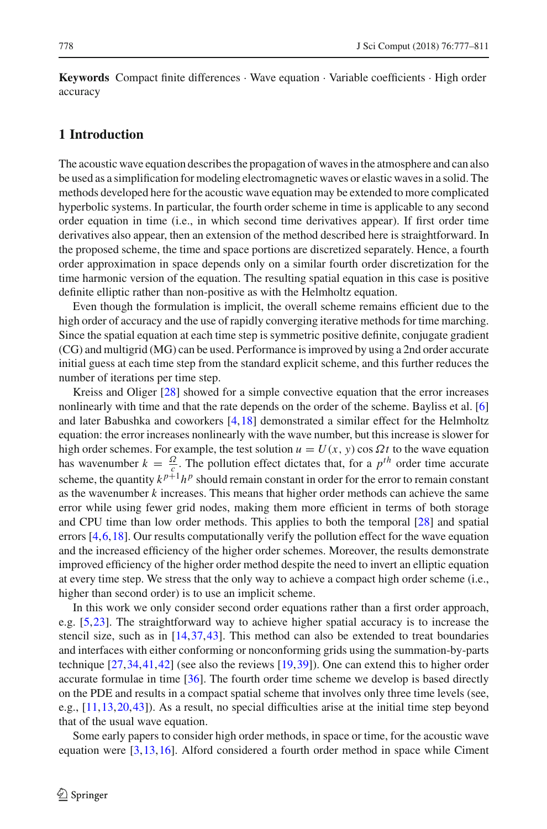**Keywords** Compact finite differences · Wave equation · Variable coefficients · High order accuracy

# <span id="page-1-0"></span>**1 Introduction**

The acoustic wave equation describes the propagation of waves in the atmosphere and can also be used as a simplification for modeling electromagnetic waves or elastic waves in a solid. The methods developed here for the acoustic wave equation may be extended to more complicated hyperbolic systems. In particular, the fourth order scheme in time is applicable to any second order equation in time (i.e., in which second time derivatives appear). If first order time derivatives also appear, then an extension of the method described here is straightforward. In the proposed scheme, the time and space portions are discretized separately. Hence, a fourth order approximation in space depends only on a similar fourth order discretization for the time harmonic version of the equation. The resulting spatial equation in this case is positive definite elliptic rather than non-positive as with the Helmholtz equation.

Even though the formulation is implicit, the overall scheme remains efficient due to the high order of accuracy and the use of rapidly converging iterative methods for time marching. Since the spatial equation at each time step is symmetric positive definite, conjugate gradient (CG) and multigrid (MG) can be used. Performance is improved by using a 2nd order accurate initial guess at each time step from the standard explicit scheme, and this further reduces the number of iterations per time step.

Kreiss and Oliger [\[28](#page-34-0)] showed for a simple convective equation that the error increases nonlinearly with time and that the rate depends on the order of the scheme. Bayliss et al. [\[6\]](#page-33-0) and later Babushka and coworkers [\[4,](#page-33-1)[18](#page-33-2)] demonstrated a similar effect for the Helmholtz equation: the error increases nonlinearly with the wave number, but this increase is slower for high order schemes. For example, the test solution  $u = U(x, y) \cos \Omega t$  to the wave equation has wavenumber  $k = \frac{\Omega}{c}$ . The pollution effect dictates that, for a  $p^{th}$  order time accurate scheme, the quantity  $k^{p+1}h^p$  should remain constant in order for the error to remain constant as the wavenumber *k* increases. This means that higher order methods can achieve the same error while using fewer grid nodes, making them more efficient in terms of both storage and CPU time than low order methods. This applies to both the temporal [\[28](#page-34-0)] and spatial errors  $[4,6,18]$  $[4,6,18]$  $[4,6,18]$ . Our results computationally verify the pollution effect for the wave equation and the increased efficiency of the higher order schemes. Moreover, the results demonstrate improved efficiency of the higher order method despite the need to invert an elliptic equation at every time step. We stress that the only way to achieve a compact high order scheme (i.e., higher than second order) is to use an implicit scheme.

In this work we only consider second order equations rather than a first order approach, e.g. [\[5](#page-33-3)[,23\]](#page-33-4). The straightforward way to achieve higher spatial accuracy is to increase the stencil size, such as in  $[14,37,43]$  $[14,37,43]$  $[14,37,43]$ . This method can also be extended to treat boundaries and interfaces with either conforming or nonconforming grids using the summation-by-parts technique [\[27](#page-34-3)[,34,](#page-34-4)[41](#page-34-5)[,42\]](#page-34-6) (see also the reviews [\[19,](#page-33-6)[39](#page-34-7)]). One can extend this to higher order accurate formulae in time [\[36](#page-34-8)]. The fourth order time scheme we develop is based directly on the PDE and results in a compact spatial scheme that involves only three time levels (see, e.g., [\[11,](#page-33-7)[13](#page-33-8)[,20,](#page-33-9)[43](#page-34-2)]). As a result, no special difficulties arise at the initial time step beyond that of the usual wave equation.

Some early papers to consider high order methods, in space or time, for the acoustic wave equation were [\[3](#page-33-10)[,13](#page-33-8)[,16](#page-33-11)]. Alford considered a fourth order method in space while Ciment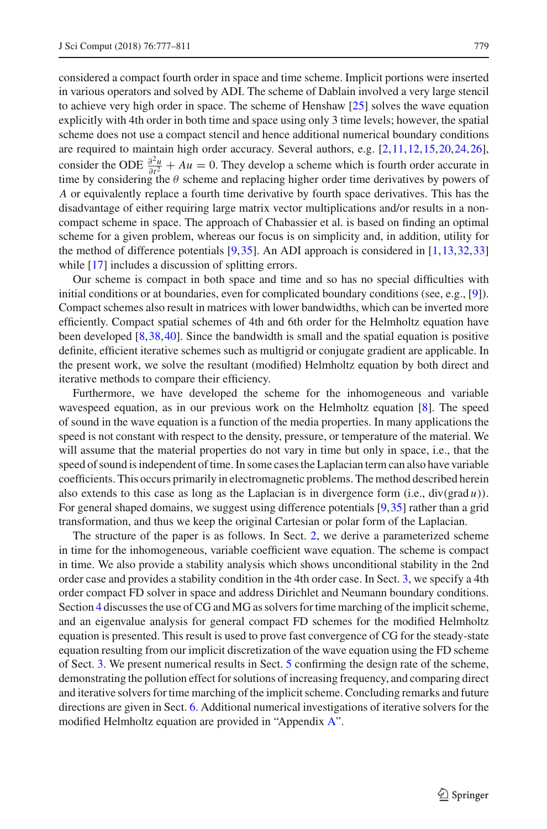considered a compact fourth order in space and time scheme. Implicit portions were inserted in various operators and solved by ADI. The scheme of Dablain involved a very large stencil to achieve very high order in space. The scheme of Henshaw [\[25\]](#page-33-12) solves the wave equation explicitly with 4th order in both time and space using only 3 time levels; however, the spatial scheme does not use a compact stencil and hence additional numerical boundary conditions are required to maintain high order accuracy. Several authors, e.g. [\[2](#page-33-13)[,11,](#page-33-7)[12](#page-33-14)[,15,](#page-33-15)[20](#page-33-9)[,24](#page-33-16)[,26\]](#page-33-17), consider the ODE  $\frac{\partial^2 u}{\partial t^2} + Au = 0$ . They develop a scheme which is fourth order accurate in time by considering the  $\theta$  scheme and replacing higher order time derivatives by powers of *A* or equivalently replace a fourth time derivative by fourth space derivatives. This has the disadvantage of either requiring large matrix vector multiplications and/or results in a noncompact scheme in space. The approach of Chabassier et al. is based on finding an optimal scheme for a given problem, whereas our focus is on simplicity and, in addition, utility for the method of difference potentials  $[9,35]$  $[9,35]$  $[9,35]$ . An ADI approach is considered in  $[1,13,32,33]$  $[1,13,32,33]$  $[1,13,32,33]$  $[1,13,32,33]$ while [\[17](#page-33-20)] includes a discussion of splitting errors.

Our scheme is compact in both space and time and so has no special difficulties with initial conditions or at boundaries, even for complicated boundary conditions (see, e.g., [\[9](#page-33-18)]). Compact schemes also result in matrices with lower bandwidths, which can be inverted more efficiently. Compact spatial schemes of 4th and 6th order for the Helmholtz equation have been developed [\[8,](#page-33-21)[38](#page-34-12)[,40\]](#page-34-13). Since the bandwidth is small and the spatial equation is positive definite, efficient iterative schemes such as multigrid or conjugate gradient are applicable. In the present work, we solve the resultant (modified) Helmholtz equation by both direct and iterative methods to compare their efficiency.

Furthermore, we have developed the scheme for the inhomogeneous and variable wavespeed equation, as in our previous work on the Helmholtz equation [\[8](#page-33-21)]. The speed of sound in the wave equation is a function of the media properties. In many applications the speed is not constant with respect to the density, pressure, or temperature of the material. We will assume that the material properties do not vary in time but only in space, i.e., that the speed of sound is independent of time. In some cases the Laplacian term can also have variable coefficients. This occurs primarily in electromagnetic problems. The method described herein also extends to this case as long as the Laplacian is in divergence form (i.e.,  $div(grad u)$ ). For general shaped domains, we suggest using difference potentials [\[9](#page-33-18)[,35](#page-34-9)] rather than a grid transformation, and thus we keep the original Cartesian or polar form of the Laplacian.

The structure of the paper is as follows. In Sect. [2,](#page-3-0) we derive a parameterized scheme in time for the inhomogeneous, variable coefficient wave equation. The scheme is compact in time. We also provide a stability analysis which shows unconditional stability in the 2nd order case and provides a stability condition in the 4th order case. In Sect. [3,](#page-7-0) we specify a 4th order compact FD solver in space and address Dirichlet and Neumann boundary conditions. Section [4](#page-10-0) discusses the use of CG and MG as solvers for time marching of the implicit scheme, and an eigenvalue analysis for general compact FD schemes for the modified Helmholtz equation is presented. This result is used to prove fast convergence of CG for the steady-state equation resulting from our implicit discretization of the wave equation using the FD scheme of Sect. [3.](#page-7-0) We present numerical results in Sect. [5](#page-17-0) confirming the design rate of the scheme, demonstrating the pollution effect for solutions of increasing frequency, and comparing direct and iterative solvers for time marching of the implicit scheme. Concluding remarks and future directions are given in Sect. [6.](#page-29-0) Additional numerical investigations of iterative solvers for the modified Helmholtz equation are provided in "Appendix [A"](#page-1-0).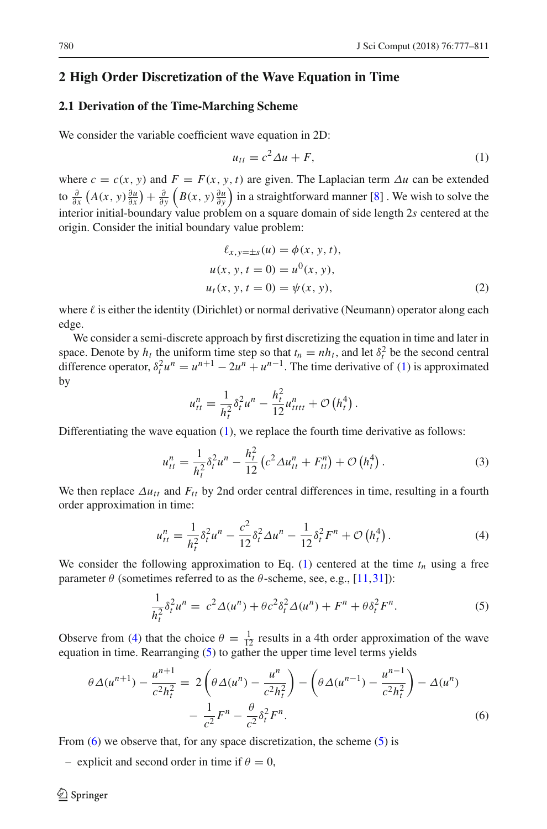# <span id="page-3-0"></span>**2 High Order Discretization of the Wave Equation in Time**

# <span id="page-3-5"></span>**2.1 Derivation of the Time-Marching Scheme**

We consider the variable coefficient wave equation in 2D:

<span id="page-3-1"></span>
$$
u_{tt} = c^2 \Delta u + F,\tag{1}
$$

where  $c = c(x, y)$  and  $F = F(x, y, t)$  are given. The Laplacian term  $\Delta u$  can be extended to  $\frac{\partial}{\partial x}\left(A(x, y)\frac{\partial u}{\partial x}\right) + \frac{\partial}{\partial y}\left(B(x, y)\frac{\partial u}{\partial y}\right)$  in a straightforward manner [\[8](#page-33-21)]. We wish to solve the interior initial-boundary value problem on a square domain of side length 2*s* centered at the origin. Consider the initial boundary value problem:

<span id="page-3-6"></span>
$$
\ell_{x,y=\pm s}(u) = \phi(x, y, t), u(x, y, t = 0) = u^{0}(x, y), u_{t}(x, y, t = 0) = \psi(x, y),
$$
\n(2)

where  $\ell$  is either the identity (Dirichlet) or normal derivative (Neumann) operator along each edge.

We consider a semi-discrete approach by first discretizing the equation in time and later in space. Denote by  $h_t$  the uniform time step so that  $t_n = nh_t$ , and let  $\delta_t^2$  be the second central difference operator,  $\delta_t^2 u^n = u^{n+1} - 2u^n + u^{n-1}$ . The time derivative of [\(1\)](#page-3-1) is approximated by

$$
u_{tt}^{n} = \frac{1}{h_t^2} \delta_t^2 u^{n} - \frac{h_t^2}{12} u_{tttt}^{n} + \mathcal{O}\left(h_t^4\right).
$$

Differentiating the wave equation  $(1)$ , we replace the fourth time derivative as follows:

<span id="page-3-7"></span>
$$
u_{tt}^{n} = \frac{1}{h_t^2} \delta_t^2 u^n - \frac{h_t^2}{12} \left( c^2 \Delta u_{tt}^{n} + F_{tt}^{n} \right) + \mathcal{O} \left( h_t^4 \right). \tag{3}
$$

We then replace  $\Delta u_{tt}$  and  $F_{tt}$  by 2nd order central differences in time, resulting in a fourth order approximation in time:

<span id="page-3-2"></span>
$$
u_{tt}^{n} = \frac{1}{h_t^2} \delta_t^2 u^n - \frac{c^2}{12} \delta_t^2 \Delta u^n - \frac{1}{12} \delta_t^2 F^n + \mathcal{O}\left(h_t^4\right). \tag{4}
$$

We consider the following approximation to Eq.  $(1)$  centered at the time  $t_n$  using a free parameter  $\theta$  (sometimes referred to as the  $\theta$ -scheme, see, e.g., [\[11](#page-33-7)[,31\]](#page-34-14)):

<span id="page-3-4"></span><span id="page-3-3"></span>
$$
\frac{1}{h_t^2} \delta_t^2 u^n = c^2 \Delta(u^n) + \theta c^2 \delta_t^2 \Delta(u^n) + F^n + \theta \delta_t^2 F^n.
$$
 (5)

Observe from [\(4\)](#page-3-2) that the choice  $\theta = \frac{1}{12}$  results in a 4th order approximation of the wave equation in time. Rearranging [\(5\)](#page-3-3) to gather the upper time level terms yields

$$
\theta \Delta(u^{n+1}) - \frac{u^{n+1}}{c^2 h_t^2} = 2 \left( \theta \Delta(u^n) - \frac{u^n}{c^2 h_t^2} \right) - \left( \theta \Delta(u^{n-1}) - \frac{u^{n-1}}{c^2 h_t^2} \right) - \Delta(u^n) - \frac{1}{c^2} F^n - \frac{\theta}{c^2} \delta_t^2 F^n.
$$
(6)

From  $(6)$  we observe that, for any space discretization, the scheme  $(5)$  is

– explicit and second order in time if  $\theta = 0$ ,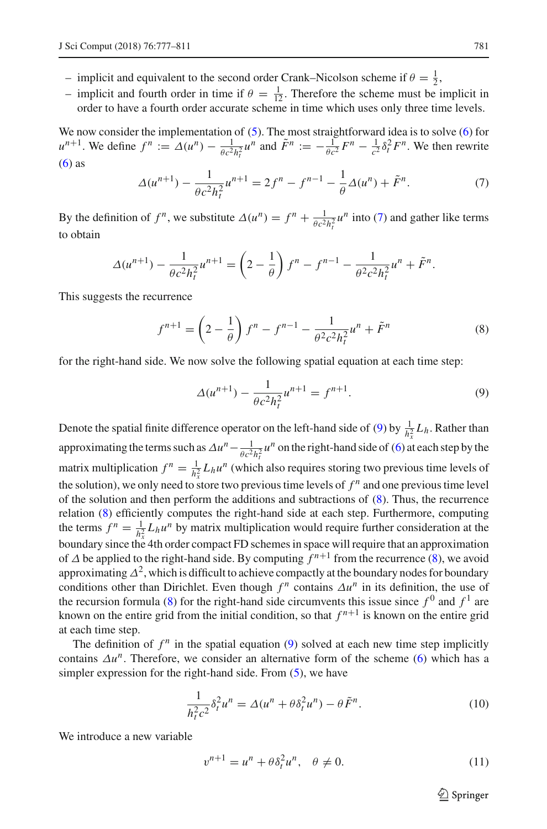- implicit and equivalent to the second order Crank–Nicolson scheme if  $\theta = \frac{1}{2}$ ,
- implicit and fourth order in time if  $\theta = \frac{1}{12}$ . Therefore the scheme must be implicit in order to have a fourth order accurate scheme in time which uses only three time levels.

We now consider the implementation of [\(5\)](#page-3-3). The most straightforward idea is to solve [\(6\)](#page-3-4) for  $u^{n+1}$ . We define  $f^n := \Delta(u^n) - \frac{1}{\theta c^2 h_t^2} u^n$  and  $\tilde{F}^n := -\frac{1}{\theta c^2} F^n - \frac{1}{c^2} \delta_t^2 F^n$ . We then rewrite  $(6)$  as

<span id="page-4-0"></span>
$$
\Delta(u^{n+1}) - \frac{1}{\theta c^2 h_t^2} u^{n+1} = 2f^n - f^{n-1} - \frac{1}{\theta} \Delta(u^n) + \tilde{F}^n.
$$
 (7)

By the definition of  $f^n$ , we substitute  $\Delta(u^n) = f^n + \frac{1}{\theta c^2 h_t^2} u^n$  into [\(7\)](#page-4-0) and gather like terms to obtain

$$
\Delta(u^{n+1}) - \frac{1}{\theta c^2 h_t^2} u^{n+1} = \left(2 - \frac{1}{\theta}\right) f^n - f^{n-1} - \frac{1}{\theta^2 c^2 h_t^2} u^n + \tilde{F}^n.
$$

This suggests the recurrence

<span id="page-4-2"></span>
$$
f^{n+1} = \left(2 - \frac{1}{\theta}\right)f^n - f^{n-1} - \frac{1}{\theta^2 c^2 h_t^2}u^n + \tilde{F}^n
$$
 (8)

for the right-hand side. We now solve the following spatial equation at each time step:

<span id="page-4-1"></span>
$$
\Delta(u^{n+1}) - \frac{1}{\theta c^2 h_t^2} u^{n+1} = f^{n+1}.
$$
 (9)

Denote the spatial finite difference operator on the left-hand side of [\(9\)](#page-4-1) by  $\frac{1}{h_x^2}L_h$ . Rather than approximating the terms such as  $\Delta u^n - \frac{1}{\theta c^2 h_t^2} u^n$  on the right-hand side of [\(6\)](#page-3-4) at each step by the matrix multiplication  $f^n = \frac{1}{h_x^2} L_h u^n$  (which also requires storing two previous time levels of the solution), we only need to store two previous time levels of  $f<sup>n</sup>$  and one previous time level of the solution and then perform the additions and subtractions of [\(8\)](#page-4-2). Thus, the recurrence relation [\(8\)](#page-4-2) efficiently computes the right-hand side at each step. Furthermore, computing the terms  $f^n = \frac{1}{h_x^2} L_h u^n$  by matrix multiplication would require further consideration at the boundary since the 4th order compact FD schemes in space will require that an approximation of  $\triangle$  be applied to the right-hand side. By computing  $\hat{f}^{n+1}$  from the recurrence [\(8\)](#page-4-2), we avoid approximating  $\Delta^2$ , which is difficult to achieve compactly at the boundary nodes for boundary conditions other than Dirichlet. Even though  $f^n$  contains  $\Delta u^n$  in its definition, the use of the recursion formula [\(8\)](#page-4-2) for the right-hand side circumvents this issue since  $f^0$  and  $f^1$  are known on the entire grid from the initial condition, so that  $f^{n+1}$  is known on the entire grid at each time step.

The definition of  $f^n$  in the spatial equation [\(9\)](#page-4-1) solved at each new time step implicitly contains  $\Delta u^n$ . Therefore, we consider an alternative form of the scheme [\(6\)](#page-3-4) which has a simpler expression for the right-hand side. From [\(5\)](#page-3-3), we have

<span id="page-4-4"></span>
$$
\frac{1}{h_t^2 c^2} \delta_t^2 u^n = \Delta(u^n + \theta \delta_t^2 u^n) - \theta \tilde{F}^n.
$$
 (10)

We introduce a new variable

<span id="page-4-3"></span>
$$
v^{n+1} = u^n + \theta \delta_t^2 u^n, \quad \theta \neq 0. \tag{11}
$$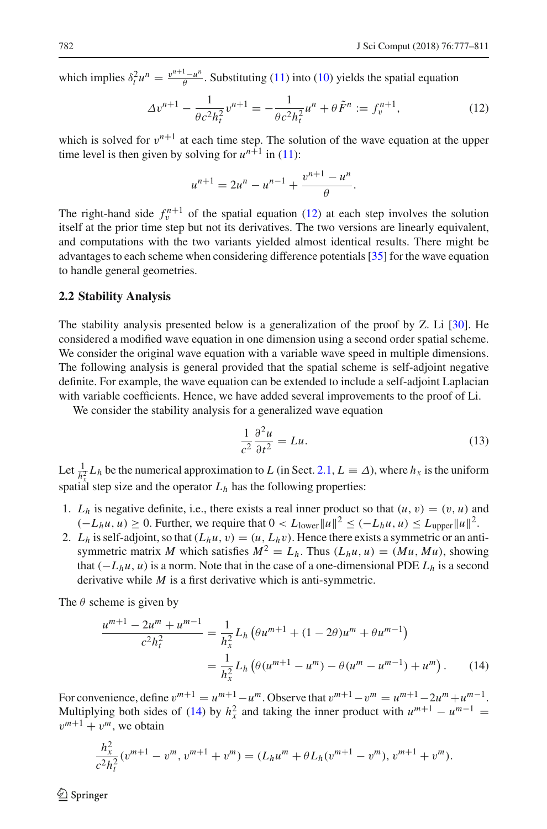which implies  $\delta_t^2 u^n = \frac{v^{n+1} - u^n}{\theta}$ . Substituting [\(11\)](#page-4-3) into [\(10\)](#page-4-4) yields the spatial equation

<span id="page-5-0"></span>
$$
\Delta v^{n+1} - \frac{1}{\theta c^2 h_t^2} v^{n+1} = -\frac{1}{\theta c^2 h_t^2} u^n + \theta \tilde{F}^n := f_v^{n+1},\tag{12}
$$

which is solved for  $v^{n+1}$  at each time step. The solution of the wave equation at the upper time level is then given by solving for  $u^{n+1}$  in [\(11\)](#page-4-3):

$$
u^{n+1} = 2u^n - u^{n-1} + \frac{v^{n+1} - u^n}{\theta}.
$$

The right-hand side  $f_n^{n+1}$  of the spatial equation [\(12\)](#page-5-0) at each step involves the solution itself at the prior time step but not its derivatives. The two versions are linearly equivalent, and computations with the two variants yielded almost identical results. There might be advantages to each scheme when considering difference potentials [\[35](#page-34-9)] for the wave equation to handle general geometries.

### <span id="page-5-2"></span>**2.2 Stability Analysis**

The stability analysis presented below is a generalization of the proof by Z. Li [\[30](#page-34-15)]. He considered a modified wave equation in one dimension using a second order spatial scheme. We consider the original wave equation with a variable wave speed in multiple dimensions. The following analysis is general provided that the spatial scheme is self-adjoint negative definite. For example, the wave equation can be extended to include a self-adjoint Laplacian with variable coefficients. Hence, we have added several improvements to the proof of Li.

We consider the stability analysis for a generalized wave equation

<span id="page-5-3"></span><span id="page-5-1"></span>
$$
\frac{1}{c^2} \frac{\partial^2 u}{\partial t^2} = Lu.
$$
 (13)

Let  $\frac{1}{h_x^2} L_h$  be the numerical approximation to *L* (in Sect. [2.1,](#page-3-5)  $L \equiv \Delta$ ), where  $h_x$  is the uniform spatial step size and the operator  $L_h$  has the following properties:

- 1.  $L_h$  is negative definite, i.e., there exists a real inner product so that  $(u, v) = (v, u)$  and  $(-L_hu, u) \geq 0$ . Further, we require that  $0 < L_{\text{lower}} ||u||^2 \leq (-L_hu, u) \leq L_{\text{upper}} ||u||^2$ .
- 2.  $L_h$  is self-adjoint, so that  $(L_hu, v) = (u, L_hv)$ . Hence there exists a symmetric or an antisymmetric matrix *M* which satisfies  $M^2 = L_h$ . Thus  $(L_h u, u) = (Mu, Mu)$ , showing that  $(-L_hu, u)$  is a norm. Note that in the case of a one-dimensional PDE  $L_h$  is a second derivative while *M* is a first derivative which is anti-symmetric.

The  $\theta$  scheme is given by

$$
\frac{u^{m+1} - 2u^m + u^{m-1}}{c^2 h_t^2} = \frac{1}{h_x^2} L_h \left( \theta u^{m+1} + (1 - 2\theta) u^m + \theta u^{m-1} \right)
$$

$$
= \frac{1}{h_x^2} L_h \left( \theta (u^{m+1} - u^m) - \theta (u^m - u^{m-1}) + u^m \right). \tag{14}
$$

For convenience, define  $v^{m+1} = u^{m+1} - u^m$ . Observe that  $v^{m+1} - v^m = u^{m+1} - 2u^m + u^{m-1}$ . Multiplying both sides of [\(14\)](#page-5-1) by  $h_x^2$  and taking the inner product with  $u^{m+1} - u^{m-1} =$  $v^{m+1} + v^m$ , we obtain

$$
\frac{h_x^2}{c^2 h_t^2} (v^{m+1} - v^m, v^{m+1} + v^m) = (L_h u^m + \theta L_h (v^{m+1} - v^m), v^{m+1} + v^m).
$$

 $\circledcirc$  Springer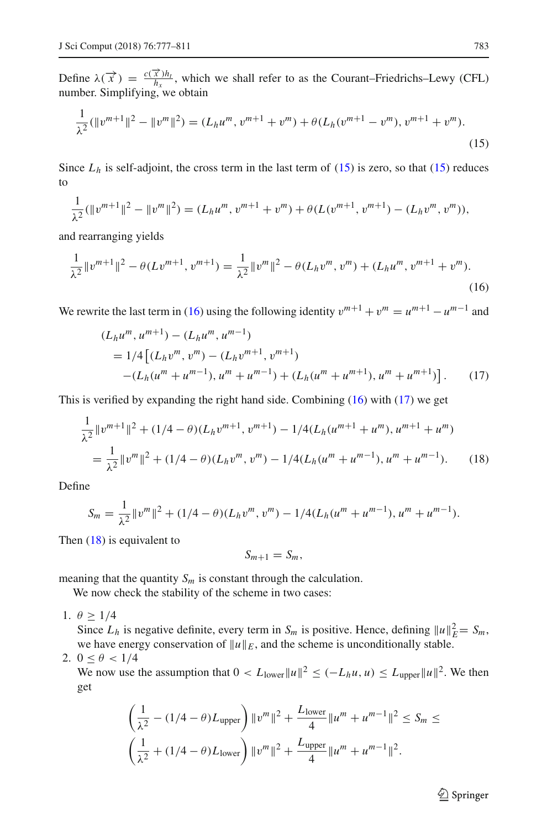Define  $\lambda(\vec{x}) = \frac{c(\vec{x})h_t}{h_x}$ , which we shall refer to as the Courant–Friedrichs–Lewy (CFL) number. Simplifying, we obtain

<span id="page-6-0"></span>
$$
\frac{1}{\lambda^2}(\|v^{m+1}\|^2 - \|v^m\|^2) = (L_h u^m, v^{m+1} + v^m) + \theta(L_h(v^{m+1} - v^m), v^{m+1} + v^m).
$$
\n(15)

Since  $L<sub>h</sub>$  is self-adjoint, the cross term in the last term of [\(15\)](#page-6-0) is zero, so that (15) reduces to

$$
\frac{1}{\lambda^2}(\|v^{m+1}\|^2 - \|v^m\|^2) = (L_h u^m, v^{m+1} + v^m) + \theta(L(v^{m+1}, v^{m+1}) - (L_h v^m, v^m)),
$$

and rearranging yields

<span id="page-6-1"></span>
$$
\frac{1}{\lambda^2} \|v^{m+1}\|^2 - \theta(Lv^{m+1}, v^{m+1}) = \frac{1}{\lambda^2} \|v^m\|^2 - \theta(L_h v^m, v^m) + (L_h u^m, v^{m+1} + v^m).
$$
\n(16)

We rewrite the last term in [\(16\)](#page-6-1) using the following identity  $v^{m+1} + v^m = u^{m+1} - u^{m-1}$  and

$$
(L_h u^m, u^{m+1}) - (L_h u^m, u^{m-1})
$$
  
= 1/4 [(L\_h v^m, v^m) - (L\_h v^{m+1}, v^{m+1})  
-(L\_h (u^m + u^{m-1}), u^m + u^{m-1}) + (L\_h (u^m + u^{m+1}), u^m + u^{m+1})]. (17)

This is verified by expanding the right hand side. Combining [\(16\)](#page-6-1) with [\(17\)](#page-6-2) we get

$$
\frac{1}{\lambda^2} ||v^{m+1}||^2 + (1/4 - \theta)(L_h v^{m+1}, v^{m+1}) - 1/4(L_h(u^{m+1} + u^m), u^{m+1} + u^m)
$$
  
= 
$$
\frac{1}{\lambda^2} ||v^m||^2 + (1/4 - \theta)(L_h v^m, v^m) - 1/4(L_h(u^m + u^{m-1}), u^m + u^{m-1}).
$$
 (18)

Define

$$
S_m = \frac{1}{\lambda^2} ||v^m||^2 + (1/4 - \theta)(L_h v^m, v^m) - 1/4(L_h(u^m + u^{m-1}), u^m + u^{m-1}).
$$

Then [\(18\)](#page-6-3) is equivalent to

<span id="page-6-3"></span><span id="page-6-2"></span>
$$
S_{m+1}=S_m,
$$

meaning that the quantity  $S_m$  is constant through the calculation.

We now check the stability of the scheme in two cases:

1.  $\theta \geq 1/4$ 

Since  $L_h$  is negative definite, every term in  $S_m$  is positive. Hence, defining  $||u||_E^2 = S_m$ , we have energy conservation of  $||u||_E$ , and the scheme is unconditionally stable.

$$
2. \ 0 \leq \theta < 1/4
$$

We now use the assumption that  $0 < L_{\text{lower}} ||u||^2 \leq (-L_h u, u) \leq L_{\text{upper}} ||u||^2$ . We then get

$$
\left(\frac{1}{\lambda^2} - (1/4 - \theta)L_{\text{upper}}\right) \|v^m\|^2 + \frac{L_{\text{lower}}}{4} \|u^m + u^{m-1}\|^2 \le S_m \le
$$
  

$$
\left(\frac{1}{\lambda^2} + (1/4 - \theta)L_{\text{lower}}\right) \|v^m\|^2 + \frac{L_{\text{upper}}}{4} \|u^m + u^{m-1}\|^2.
$$

 $\hat{\mathfrak{D}}$  Springer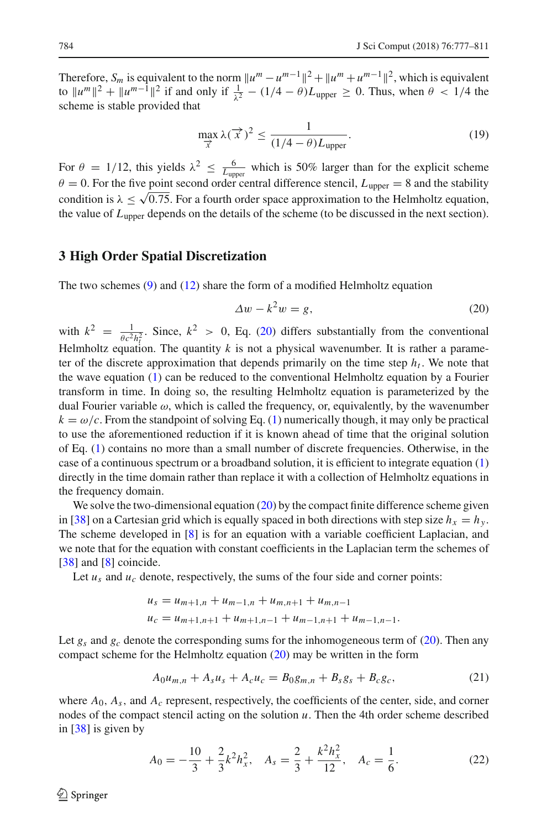Therefore,  $S_m$  is equivalent to the norm  $||u^m - u^{m-1}||^2 + ||u^m + u^{m-1}||^2$ , which is equivalent to  $||u^m||^2 + ||u^{m-1}||^2$  if and only if  $\frac{1}{\lambda^2} - (1/4 - \theta)L_{\text{upper}} \ge 0$ . Thus, when  $\theta$  < 1/4 the scheme is stable provided that

<span id="page-7-3"></span>
$$
\max_{\overrightarrow{x}} \lambda(\overrightarrow{x})^2 \le \frac{1}{(1/4 - \theta)L_{\text{upper}}}.
$$
\n(19)

For  $\theta = 1/12$ , this yields  $\lambda^2 \leq \frac{6}{L_{\text{upper}}}$  which is 50% larger than for the explicit scheme  $\theta = 0$ . For the five point second order central difference stencil,  $L_{\text{upper}} = 8$  and the stability condition is  $\lambda \leq \sqrt{0.75}$ . For a fourth order space approximation to the Helmholtz equation, the value of  $L_{\text{unper}}$  depends on the details of the scheme (to be discussed in the next section).

# <span id="page-7-0"></span>**3 High Order Spatial Discretization**

The two schemes  $(9)$  and  $(12)$  share the form of a modified Helmholtz equation

<span id="page-7-1"></span>
$$
\Delta w - k^2 w = g,\tag{20}
$$

with  $k^2 = \frac{1}{\theta c^2 h_t^2}$ . Since,  $k^2 > 0$ , Eq. [\(20\)](#page-7-1) differs substantially from the conventional Helmholtz equation. The quantity *k* is not a physical wavenumber. It is rather a parameter of the discrete approximation that depends primarily on the time step  $h_t$ . We note that the wave equation [\(1\)](#page-3-1) can be reduced to the conventional Helmholtz equation by a Fourier transform in time. In doing so, the resulting Helmholtz equation is parameterized by the dual Fourier variable  $\omega$ , which is called the frequency, or, equivalently, by the wavenumber  $k = \omega/c$ . From the standpoint of solving Eq. [\(1\)](#page-3-1) numerically though, it may only be practical to use the aforementioned reduction if it is known ahead of time that the original solution of Eq. [\(1\)](#page-3-1) contains no more than a small number of discrete frequencies. Otherwise, in the case of a continuous spectrum or a broadband solution, it is efficient to integrate equation [\(1\)](#page-3-1) directly in the time domain rather than replace it with a collection of Helmholtz equations in the frequency domain.

We solve the two-dimensional equation [\(20\)](#page-7-1) by the compact finite difference scheme given in [\[38](#page-34-12)] on a Cartesian grid which is equally spaced in both directions with step size  $h_x = h_y$ . The scheme developed in [\[8](#page-33-21)] is for an equation with a variable coefficient Laplacian, and we note that for the equation with constant coefficients in the Laplacian term the schemes of [\[38\]](#page-34-12) and [\[8](#page-33-21)] coincide.

Let  $u_s$  and  $u_c$  denote, respectively, the sums of the four side and corner points:

$$
u_s = u_{m+1,n} + u_{m-1,n} + u_{m,n+1} + u_{m,n-1}
$$
  

$$
u_c = u_{m+1,n+1} + u_{m+1,n-1} + u_{m-1,n+1} + u_{m-1,n-1}.
$$

Let  $g_s$  and  $g_c$  denote the corresponding sums for the inhomogeneous term of [\(20\)](#page-7-1). Then any compact scheme for the Helmholtz equation [\(20\)](#page-7-1) may be written in the form

<span id="page-7-4"></span>
$$
A_0 u_{m,n} + A_s u_s + A_c u_c = B_0 g_{m,n} + B_s g_s + B_c g_c, \qquad (21)
$$

where *A*0, *As*, and *Ac* represent, respectively, the coefficients of the center, side, and corner nodes of the compact stencil acting on the solution *u*. Then the 4th order scheme described in [\[38\]](#page-34-12) is given by

<span id="page-7-2"></span>
$$
A_0 = -\frac{10}{3} + \frac{2}{3}k^2 h_x^2, \quad A_s = \frac{2}{3} + \frac{k^2 h_x^2}{12}, \quad A_c = \frac{1}{6}.
$$
 (22)

 $\circledcirc$  Springer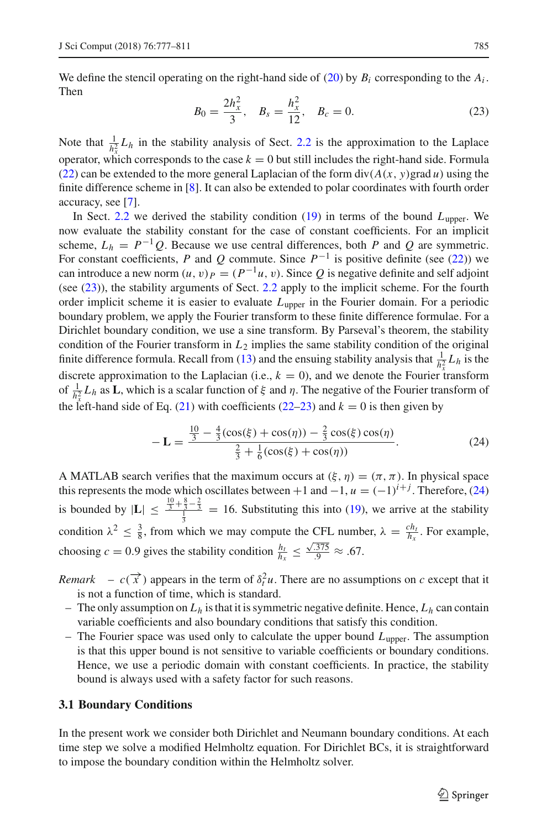We define the stencil operating on the right-hand side of  $(20)$  by  $B_i$  corresponding to the  $A_i$ . Then

<span id="page-8-0"></span>
$$
B_0 = \frac{2h_x^2}{3}, \quad B_s = \frac{h_x^2}{12}, \quad B_c = 0.
$$
 (23)

Note that  $\frac{1}{h_x^2} L_h$  in the stability analysis of Sect. [2.2](#page-5-2) is the approximation to the Laplace operator, which corresponds to the case  $k = 0$  but still includes the right-hand side. Formula [\(22\)](#page-7-2) can be extended to the more general Laplacian of the form  $div(A(x, y)grad u)$  using the finite difference scheme in [\[8\]](#page-33-21). It can also be extended to polar coordinates with fourth order accuracy, see [\[7](#page-33-22)].

In Sect.  $2.2$  we derived the stability condition  $(19)$  in terms of the bound  $L_{\text{inner}}$ . We now evaluate the stability constant for the case of constant coefficients. For an implicit scheme,  $L_h = P^{-1}Q$ . Because we use central differences, both *P* and *Q* are symmetric. For constant coefficients, *P* and *Q* commute. Since  $P^{-1}$  is positive definite (see [\(22\)](#page-7-2)) we can introduce a new norm  $(u, v)_P = (P^{-1}u, v)$ . Since *Q* is negative definite and self adjoint (see [\(23\)](#page-8-0)), the stability arguments of Sect. [2.2](#page-5-2) apply to the implicit scheme. For the fourth order implicit scheme it is easier to evaluate  $L_{\text{upper}}$  in the Fourier domain. For a periodic boundary problem, we apply the Fourier transform to these finite difference formulae. For a Dirichlet boundary condition, we use a sine transform. By Parseval's theorem, the stability condition of the Fourier transform in *L*<sup>2</sup> implies the same stability condition of the original finite difference formula. Recall from [\(13\)](#page-5-3) and the ensuing stability analysis that  $\frac{1}{h_x^2}L_h$  is the discrete approximation to the Laplacian (i.e.,  $k = 0$ ), and we denote the Fourier transform of  $\frac{1}{h_x^2}L_h$  as **L**, which is a scalar function of  $\xi$  and  $\eta$ . The negative of the Fourier transform of the left-hand side of Eq. [\(21\)](#page-7-4) with coefficients [\(22](#page-7-2)[–23\)](#page-8-0) and  $k = 0$  is then given by

<span id="page-8-1"></span>
$$
-\mathbf{L} = \frac{\frac{10}{3} - \frac{4}{3}(\cos(\xi) + \cos(\eta)) - \frac{2}{3}\cos(\xi)\cos(\eta)}{\frac{2}{3} + \frac{1}{6}(\cos(\xi) + \cos(\eta))}.
$$
 (24)

A MATLAB search verifies that the maximum occurs at  $(\xi, \eta) = (\pi, \pi)$ . In physical space this represents the mode which oscillates between +1 and  $-1$ ,  $u = (-1)^{i+j}$ . Therefore, [\(24\)](#page-8-1) is bounded by  $|\mathbf{L}| \leq \frac{\frac{10}{3} + \frac{8}{3} - \frac{2}{3}}{\frac{1}{4}} = 16$ . Substituting this into [\(19\)](#page-7-3), we arrive at the stability condition  $\lambda^2 \leq \frac{3}{8}$ , from which we may compute the CFL number,  $\lambda = \frac{ch_t}{h_x}$ . For example, choosing  $c = 0.9$  gives the stability condition  $\frac{h_t}{h_x} \le \frac{\sqrt{.375}}{.9} \approx .67$ .

*Remark* –  $c(\vec{x})$  appears in the term of  $\delta_t^2 u$ . There are no assumptions on *c* except that it is not a function of time, which is standard.

- The only assumption on  $L<sub>h</sub>$  is that it is symmetric negative definite. Hence,  $L<sub>h</sub>$  can contain variable coefficients and also boundary conditions that satisfy this condition.
- $-$  The Fourier space was used only to calculate the upper bound  $L_{\text{upper}}$ . The assumption is that this upper bound is not sensitive to variable coefficients or boundary conditions. Hence, we use a periodic domain with constant coefficients. In practice, the stability bound is always used with a safety factor for such reasons.

### **3.1 Boundary Conditions**

In the present work we consider both Dirichlet and Neumann boundary conditions. At each time step we solve a modified Helmholtz equation. For Dirichlet BCs, it is straightforward to impose the boundary condition within the Helmholtz solver.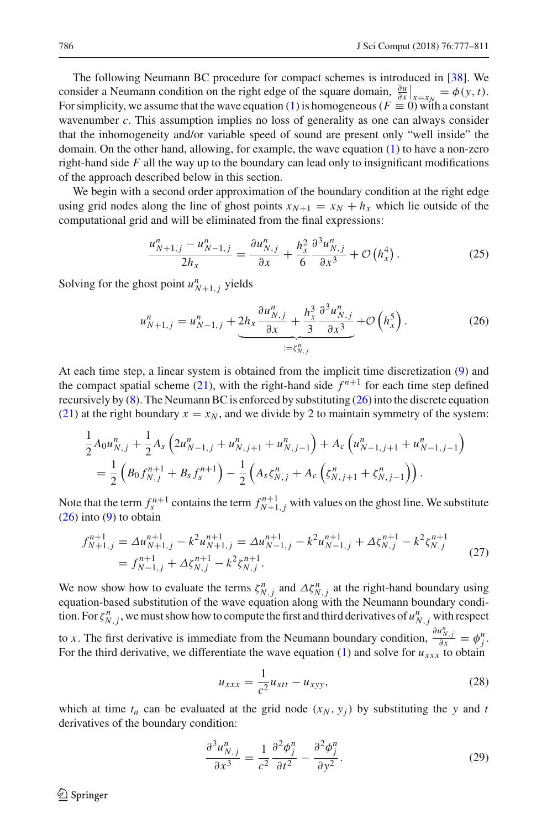The following Neumann BC procedure for compact schemes is introduced in [\[38](#page-34-12)]. We consider a Neumann condition on the right edge of the square domain,  $\frac{\partial u}{\partial x}\Big|_{x=x_N} = \phi(y, t)$ . For simplicity, we assume that the wave equation [\(1\)](#page-3-1) is homogeneous ( $F \equiv 0$ ) with a constant wavenumber *c*. This assumption implies no loss of generality as one can always consider that the inhomogeneity and/or variable speed of sound are present only "well inside" the domain. On the other hand, allowing, for example, the wave equation [\(1\)](#page-3-1) to have a non-zero right-hand side *F* all the way up to the boundary can lead only to insignificant modifications of the approach described below in this section.

We begin with a second order approximation of the boundary condition at the right edge using grid nodes along the line of ghost points  $x_{N+1} = x_N + h_x$  which lie outside of the computational grid and will be eliminated from the final expressions:

<span id="page-9-1"></span>
$$
\frac{u_{N+1,j}^n - u_{N-1,j}^n}{2h_x} = \frac{\partial u_{N,j}^n}{\partial x} + \frac{h_x^2}{6} \frac{\partial^3 u_{N,j}^n}{\partial x^3} + \mathcal{O}\left(h_x^4\right). \tag{25}
$$

Solving for the ghost point  $u_{N+1,j}^n$  yields

<span id="page-9-0"></span>
$$
u_{N+1,j}^n = u_{N-1,j}^n + \underbrace{2h_x \frac{\partial u_{N,j}^n}{\partial x} + \frac{h_x^3}{3} \frac{\partial^3 u_{N,j}^n}{\partial x^3}}_{:=\zeta_{N,j}^n} + \mathcal{O}\left(h_x^5\right). \tag{26}
$$

At each time step, a linear system is obtained from the implicit time discretization [\(9\)](#page-4-1) and the compact spatial scheme [\(21\)](#page-7-4), with the right-hand side  $f^{n+1}$  for each time step defined recursively by  $(8)$ . The Neumann BC is enforced by substituting  $(26)$  into the discrete equation [\(21\)](#page-7-4) at the right boundary  $x = x_N$ , and we divide by 2 to maintain symmetry of the system:

$$
\frac{1}{2}A_0u_{N,j}^n + \frac{1}{2}A_s\left(2u_{N-1,j}^n + u_{N,j+1}^n + u_{N,j-1}^n\right) + A_c\left(u_{N-1,j+1}^n + u_{N-1,j-1}^n\right) \n= \frac{1}{2}\left(B_0f_{N,j}^{n+1} + B_sf_s^{n+1}\right) - \frac{1}{2}\left(A_s\xi_{N,j}^n + A_c\left(\xi_{N,j+1}^n + \xi_{N,j-1}^n\right)\right).
$$

Note that the term  $f_s^{n+1}$  contains the term  $f_{N+1,j}^{n+1}$  with values on the ghost line. We substitute [\(26\)](#page-9-0) into [\(9\)](#page-4-1) to obtain

<span id="page-9-4"></span>
$$
f_{N+1,j}^{n+1} = \Delta u_{N+1,j}^{n+1} - k^2 u_{N+1,j}^{n+1} = \Delta u_{N-1,j}^{n+1} - k^2 u_{N-1,j}^{n+1} + \Delta \zeta_{N,j}^{n+1} - k^2 \zeta_{N,j}^{n+1}
$$
  
=  $f_{N-1,j}^{n+1} + \Delta \zeta_{N,j}^{n+1} - k^2 \zeta_{N,j}^{n+1}$ . (27)

We now show how to evaluate the terms  $\zeta_{N,j}^n$  and  $\Delta \zeta_{N,j}^n$  at the right-hand boundary using equation-based substitution of the wave equation along with the Neumann boundary condition. For  $\zeta_{N,j}^n$ , we must show how to compute the first and third derivatives of  $u_{N,j}^n$  with respect to *x*. The first derivative is immediate from the Neumann boundary condition,  $\frac{\partial u_{N,j}^n}{\partial x} = \phi_j^n$ . For the third derivative, we differentiate the wave equation  $(1)$  and solve for  $u_{xxx}$  to obtain

<span id="page-9-2"></span>
$$
u_{xxx} = \frac{1}{c^2} u_{xtt} - u_{xyy},
$$
 (28)

which at time  $t_n$  can be evaluated at the grid node  $(x_N, y_j)$  by substituting the y and t derivatives of the boundary condition:

<span id="page-9-3"></span>
$$
\frac{\partial^3 u_{N,j}^n}{\partial x^3} = \frac{1}{c^2} \frac{\partial^2 \phi_j^n}{\partial t^2} - \frac{\partial^2 \phi_j^n}{\partial y^2}.
$$
 (29)

 $\mathcal{L}$  Springer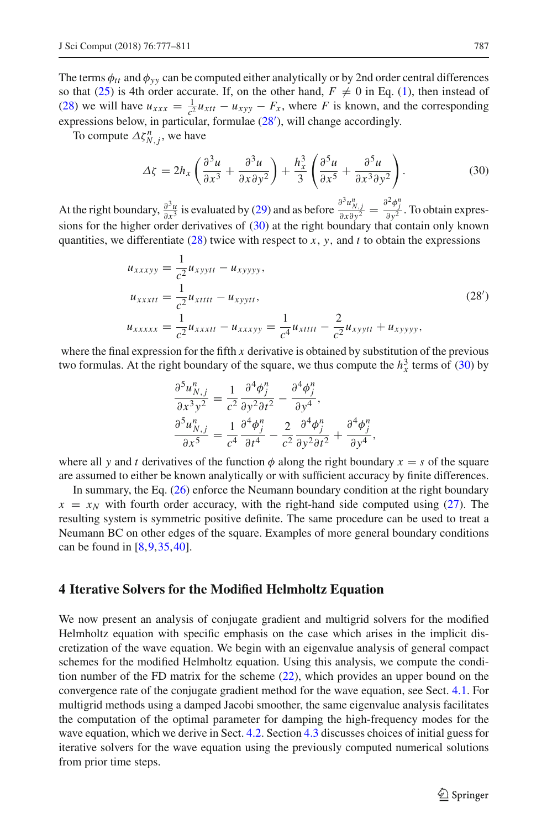The terms  $\phi_{tt}$  and  $\phi_{yy}$  can be computed either analytically or by 2nd order central differences so that [\(25\)](#page-9-1) is 4th order accurate. If, on the other hand,  $F \neq 0$  in Eq. [\(1\)](#page-3-1), then instead of [\(28\)](#page-9-2) we will have  $u_{xxx} = \frac{1}{c^2} u_{xtt} - u_{xyy} - F_x$ , where *F* is known, and the corresponding expressions below, in particular, formulae [\(28](#page-10-1) ), will change accordingly.

To compute  $\Delta \zeta_{N,j}^n$ , we have

<span id="page-10-2"></span>
$$
\Delta \zeta = 2h_x \left( \frac{\partial^3 u}{\partial x^3} + \frac{\partial^3 u}{\partial x \partial y^2} \right) + \frac{h_x^3}{3} \left( \frac{\partial^5 u}{\partial x^5} + \frac{\partial^5 u}{\partial x^3 \partial y^2} \right). \tag{30}
$$

At the right boundary,  $\frac{\partial^3 u}{\partial x^3}$  is evaluated by [\(29\)](#page-9-3) and as before  $\frac{\partial^3 u_{N,j}^n}{\partial x \partial y^2} = \frac{\partial^2 \phi_j^n}{\partial y^2}$ . To obtain expressions for the higher order derivatives of [\(30\)](#page-10-2) at the right boundary that contain only known quantities, we differentiate  $(28)$  twice with respect to *x*, *y*, and *t* to obtain the expressions

$$
u_{xxxxyy} = \frac{1}{c^2} u_{xyytt} - u_{xyyyy},
$$
  
\n
$$
u_{xxxxtt} = \frac{1}{c^2} u_{xttttt} - u_{xyytt},
$$
  
\n
$$
u_{xxxxxx} = \frac{1}{c^2} u_{xxxxtt} - u_{xxxyy} = \frac{1}{c^4} u_{xttttt} - \frac{2}{c^2} u_{xyytt} + u_{xyyyy},
$$
\n(28')

where the final expression for the fifth  $x$  derivative is obtained by substitution of the previous two formulas. At the right boundary of the square, we thus compute the  $h_x^3$  terms of [\(30\)](#page-10-2) by

<span id="page-10-1"></span>
$$
\frac{\partial^5 u_{N,j}^n}{\partial x^3 y^2} = \frac{1}{c^2} \frac{\partial^4 \phi_j^n}{\partial y^2 \partial t^2} - \frac{\partial^4 \phi_j^n}{\partial y^4},
$$
  

$$
\frac{\partial^5 u_{N,j}^n}{\partial x^5} = \frac{1}{c^4} \frac{\partial^4 \phi_j^n}{\partial t^4} - \frac{2}{c^2} \frac{\partial^4 \phi_j^n}{\partial y^2 \partial t^2} + \frac{\partial^4 \phi_j^n}{\partial y^4},
$$

where all *y* and *t* derivatives of the function  $\phi$  along the right boundary  $x = s$  of the square are assumed to either be known analytically or with sufficient accuracy by finite differences.

In summary, the Eq. [\(26\)](#page-9-0) enforce the Neumann boundary condition at the right boundary  $x = x_N$  with fourth order accuracy, with the right-hand side computed using [\(27\)](#page-9-4). The resulting system is symmetric positive definite. The same procedure can be used to treat a Neumann BC on other edges of the square. Examples of more general boundary conditions can be found in  $[8, 9, 35, 40]$  $[8, 9, 35, 40]$  $[8, 9, 35, 40]$  $[8, 9, 35, 40]$ .

# <span id="page-10-0"></span>**4 Iterative Solvers for the Modified Helmholtz Equation**

We now present an analysis of conjugate gradient and multigrid solvers for the modified Helmholtz equation with specific emphasis on the case which arises in the implicit discretization of the wave equation. We begin with an eigenvalue analysis of general compact schemes for the modified Helmholtz equation. Using this analysis, we compute the condition number of the FD matrix for the scheme [\(22\)](#page-7-2), which provides an upper bound on the convergence rate of the conjugate gradient method for the wave equation, see Sect. [4.1.](#page-12-0) For multigrid methods using a damped Jacobi smoother, the same eigenvalue analysis facilitates the computation of the optimal parameter for damping the high-frequency modes for the wave equation, which we derive in Sect. [4.2.](#page-13-0) Section [4.3](#page-17-1) discusses choices of initial guess for iterative solvers for the wave equation using the previously computed numerical solutions from prior time steps.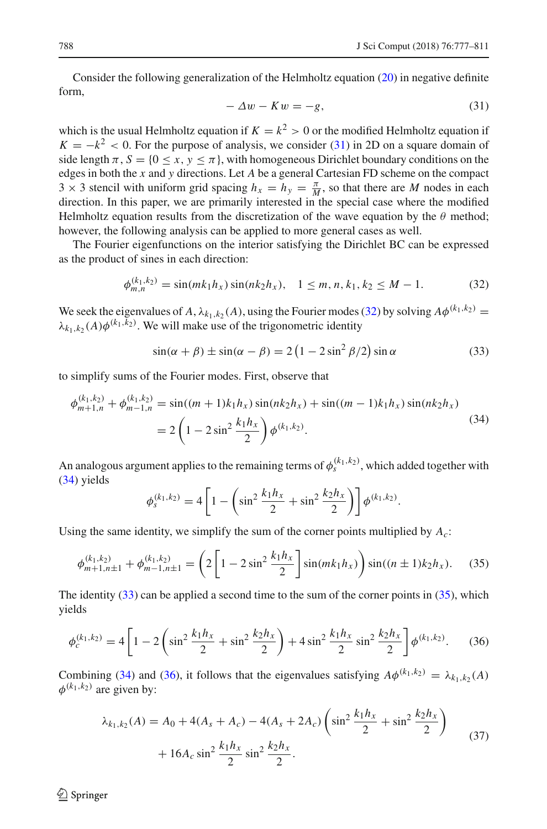Consider the following generalization of the Helmholtz equation [\(20\)](#page-7-1) in negative definite form,

<span id="page-11-0"></span>
$$
-\Delta w - Kw = -g,\tag{31}
$$

which is the usual Helmholtz equation if  $K = k^2 > 0$  or the modified Helmholtz equation if  $K = -k^2 < 0$ . For the purpose of analysis, we consider [\(31\)](#page-11-0) in 2D on a square domain of side length  $\pi$ ,  $S = \{0 \le x, y \le \pi\}$ , with homogeneous Dirichlet boundary conditions on the edges in both the *x* and *y* directions. Let *A* be a general Cartesian FD scheme on the compact  $3 \times 3$  stencil with uniform grid spacing  $h_x = h_y = \frac{\pi}{M}$ , so that there are *M* nodes in each direction. In this paper, we are primarily interested in the special case where the modified Helmholtz equation results from the discretization of the wave equation by the  $\theta$  method; however, the following analysis can be applied to more general cases as well.

The Fourier eigenfunctions on the interior satisfying the Dirichlet BC can be expressed as the product of sines in each direction:

<span id="page-11-1"></span>
$$
\phi_{m,n}^{(k_1,k_2)} = \sin(mk_1h_x)\sin(nk_2h_x), \quad 1 \le m, n, k_1, k_2 \le M - 1. \tag{32}
$$

We seek the eigenvalues of *A*,  $\lambda_{k_1,k_2}(A)$ , using the Fourier modes [\(32\)](#page-11-1) by solving  $A\phi^{(k_1,k_2)} =$  $\lambda_{k_1,k_2}(A)\phi^{(k_1,k_2)}$ . We will make use of the trigonometric identity

<span id="page-11-3"></span>
$$
\sin(\alpha + \beta) \pm \sin(\alpha - \beta) = 2\left(1 - 2\sin^2\beta/2\right)\sin\alpha\tag{33}
$$

to simplify sums of the Fourier modes. First, observe that

<span id="page-11-2"></span>
$$
\phi_{m+1,n}^{(k_1,k_2)} + \phi_{m-1,n}^{(k_1,k_2)} = \sin((m+1)k_1h_x)\sin(nk_2h_x) + \sin((m-1)k_1h_x)\sin(nk_2h_x)
$$
  
=  $2\left(1 - 2\sin^2\frac{k_1h_x}{2}\right)\phi^{(k_1,k_2)}.$  (34)

An analogous argument applies to the remaining terms of  $\phi_s^{(k_1,k_2)}$ , which added together with [\(34\)](#page-11-2) yields

$$
\phi_s^{(k_1,k_2)} = 4 \left[ 1 - \left( \sin^2 \frac{k_1 h_x}{2} + \sin^2 \frac{k_2 h_x}{2} \right) \right] \phi^{(k_1,k_2)}.
$$

Using the same identity, we simplify the sum of the corner points multiplied by  $A_c$ :

<span id="page-11-4"></span>
$$
\phi_{m+1,n\pm 1}^{(k_1,k_2)} + \phi_{m-1,n\pm 1}^{(k_1,k_2)} = \left(2\left[1 - 2\sin^2\frac{k_1h_x}{2}\right]\sin(mk_1h_x)\right)\sin((n\pm 1)k_2h_x). \tag{35}
$$

The identity  $(33)$  can be applied a second time to the sum of the corner points in  $(35)$ , which yields

<span id="page-11-5"></span>
$$
\phi_c^{(k_1, k_2)} = 4 \left[ 1 - 2 \left( \sin^2 \frac{k_1 h_x}{2} + \sin^2 \frac{k_2 h_x}{2} \right) + 4 \sin^2 \frac{k_1 h_x}{2} \sin^2 \frac{k_2 h_x}{2} \right] \phi^{(k_1, k_2)}.
$$
 (36)

Combining [\(34\)](#page-11-2) and [\(36\)](#page-11-5), it follows that the eigenvalues satisfying  $A\phi^{(k_1,k_2)} = \lambda_{k_1,k_2}(A)$  $\phi^{(k_1,k_2)}$  are given by:

<span id="page-11-6"></span>
$$
\lambda_{k_1, k_2}(A) = A_0 + 4(A_s + A_c) - 4(A_s + 2A_c) \left( \sin^2 \frac{k_1 h_x}{2} + \sin^2 \frac{k_2 h_x}{2} \right) + 16A_c \sin^2 \frac{k_1 h_x}{2} \sin^2 \frac{k_2 h_x}{2}.
$$
\n(37)

 $\mathcal{L}$  Springer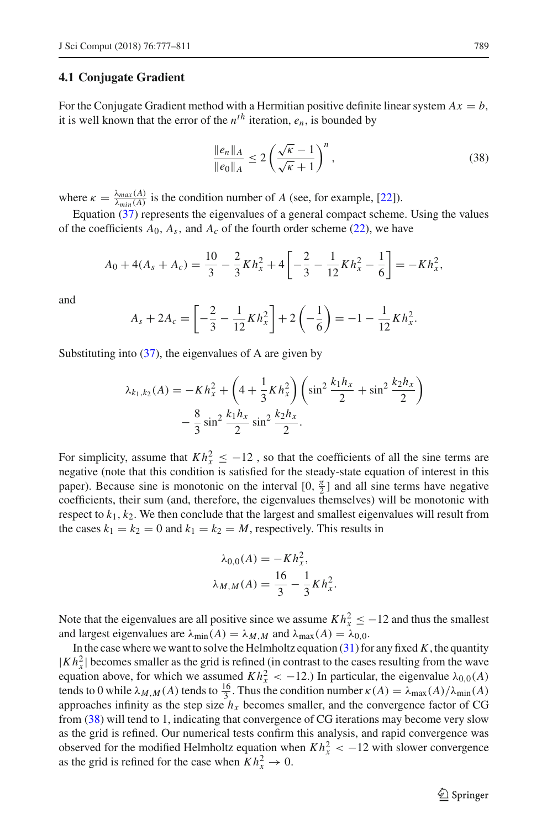### <span id="page-12-0"></span>**4.1 Conjugate Gradient**

For the Conjugate Gradient method with a Hermitian positive definite linear system  $Ax = b$ , it is well known that the error of the  $n^{th}$  iteration,  $e_n$ , is bounded by

<span id="page-12-1"></span>
$$
\frac{\|e_n\|_A}{\|e_0\|_A} \le 2\left(\frac{\sqrt{\kappa}-1}{\sqrt{\kappa}+1}\right)^n,\tag{38}
$$

where  $\kappa = \frac{\lambda_{max}(A)}{\lambda_{min}(A)}$  is the condition number of *A* (see, for example, [\[22](#page-33-23)]).

Equation [\(37\)](#page-11-6) represents the eigenvalues of a general compact scheme. Using the values of the coefficients  $A_0$ ,  $A_s$ , and  $A_c$  of the fourth order scheme [\(22\)](#page-7-2), we have

$$
A_0 + 4(A_s + A_c) = \frac{10}{3} - \frac{2}{3}Kh_x^2 + 4\left[-\frac{2}{3} - \frac{1}{12}Kh_x^2 - \frac{1}{6}\right] = -Kh_x^2,
$$

and

$$
A_s + 2A_c = \left[ -\frac{2}{3} - \frac{1}{12}Kh_x^2 \right] + 2\left( -\frac{1}{6} \right) = -1 - \frac{1}{12}Kh_x^2.
$$

Substituting into  $(37)$ , the eigenvalues of A are given by

$$
\lambda_{k_1, k_2}(A) = -Kh_x^2 + \left(4 + \frac{1}{3}Kh_x^2\right)\left(\sin^2\frac{k_1h_x}{2} + \sin^2\frac{k_2h_x}{2}\right) - \frac{8}{3}\sin^2\frac{k_1h_x}{2}\sin^2\frac{k_2h_x}{2}.
$$

For simplicity, assume that  $Kh_x^2 \leq -12$ , so that the coefficients of all the sine terms are negative (note that this condition is satisfied for the steady-state equation of interest in this paper). Because sine is monotonic on the interval  $[0, \frac{\pi}{2}]$  and all sine terms have negative coefficients, their sum (and, therefore, the eigenvalues themselves) will be monotonic with respect to  $k_1$ ,  $k_2$ . We then conclude that the largest and smallest eigenvalues will result from the cases  $k_1 = k_2 = 0$  and  $k_1 = k_2 = M$ , respectively. This results in

$$
\lambda_{0,0}(A) = -Kh_x^2,
$$
  

$$
\lambda_{M,M}(A) = \frac{16}{3} - \frac{1}{3}Kh_x^2.
$$

Note that the eigenvalues are all positive since we assume  $Kh_x^2 \le -12$  and thus the smallest and largest eigenvalues are  $\lambda_{\min}(A) = \lambda_{M,M}$  and  $\lambda_{\max}(A) = \lambda_{0,0}$ .

In the case where we want to solve the Helmholtz equation  $(31)$  for any fixed K, the quantity  $|Kh_x^2|$  becomes smaller as the grid is refined (in contrast to the cases resulting from the wave equation above, for which we assumed  $Kh_x^2 < -12$ .) In particular, the eigenvalue  $\lambda_{0,0}(A)$ tends to 0 while  $\lambda_{M,M}(A)$  tends to  $\frac{16}{3}$ . Thus the condition number  $\kappa(A) = \lambda_{\max}(A)/\lambda_{\min}(A)$ approaches infinity as the step size  $h<sub>x</sub>$  becomes smaller, and the convergence factor of CG from [\(38\)](#page-12-1) will tend to 1, indicating that convergence of CG iterations may become very slow as the grid is refined. Our numerical tests confirm this analysis, and rapid convergence was observed for the modified Helmholtz equation when  $Kh_x^2 < -12$  with slower convergence as the grid is refined for the case when  $Kh_x^2 \to 0$ .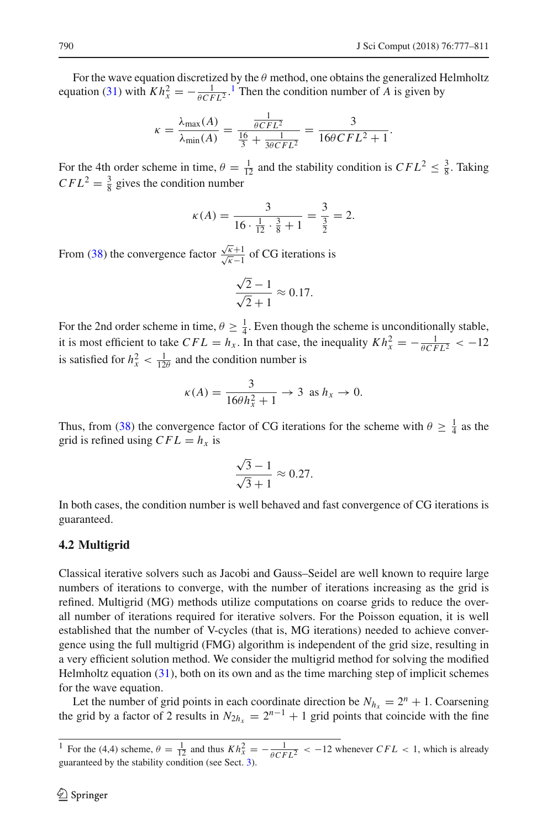For the wave equation discretized by the  $\theta$  method, one obtains the generalized Helmholtz equation [\(31\)](#page-11-0) with  $Kh_x^2 = -\frac{1}{\theta CFL^2}$  $Kh_x^2 = -\frac{1}{\theta CFL^2}$  $Kh_x^2 = -\frac{1}{\theta CFL^2}$ .<sup>1</sup> Then the condition number of *A* is given by

$$
\kappa = \frac{\lambda_{\max}(A)}{\lambda_{\min}(A)} = \frac{\frac{1}{\theta CFL^2}}{\frac{16}{3} + \frac{1}{3\theta CFL^2}} = \frac{3}{16\theta CFL^2 + 1}.
$$

For the 4th order scheme in time,  $\theta = \frac{1}{12}$  and the stability condition is  $CFL^2 \leq \frac{3}{8}$ . Taking  $CFL^{2} = \frac{3}{8}$  gives the condition number

$$
\kappa(A) = \frac{3}{16 \cdot \frac{1}{12} \cdot \frac{3}{8} + 1} = \frac{3}{\frac{3}{2}} = 2.
$$

From [\(38\)](#page-12-1) the convergence factor  $\frac{\sqrt{\kappa}+1}{\sqrt{\kappa}-1}$  of CG iterations is

$$
\frac{\sqrt{2}-1}{\sqrt{2}+1} \approx 0.17.
$$

For the 2nd order scheme in time,  $\theta \geq \frac{1}{4}$ . Even though the scheme is unconditionally stable, it is most efficient to take  $CFL = h_x$ . In that case, the inequality  $Kh_x^2 = -\frac{1}{\theta CFL^2} < -12$ is satisfied for  $h_x^2 < \frac{1}{12\theta}$  and the condition number is

$$
\kappa(A) = \frac{3}{16\theta h_x^2 + 1} \to 3 \text{ as } h_x \to 0.
$$

Thus, from [\(38\)](#page-12-1) the convergence factor of CG iterations for the scheme with  $\theta \geq \frac{1}{4}$  as the grid is refined using  $CFL = h_x$  is

$$
\frac{\sqrt{3}-1}{\sqrt{3}+1} \approx 0.27.
$$

In both cases, the condition number is well behaved and fast convergence of CG iterations is guaranteed.

### <span id="page-13-0"></span>**4.2 Multigrid**

Classical iterative solvers such as Jacobi and Gauss–Seidel are well known to require large numbers of iterations to converge, with the number of iterations increasing as the grid is refined. Multigrid (MG) methods utilize computations on coarse grids to reduce the overall number of iterations required for iterative solvers. For the Poisson equation, it is well established that the number of V-cycles (that is, MG iterations) needed to achieve convergence using the full multigrid (FMG) algorithm is independent of the grid size, resulting in a very efficient solution method. We consider the multigrid method for solving the modified Helmholtz equation  $(31)$ , both on its own and as the time marching step of implicit schemes for the wave equation.

Let the number of grid points in each coordinate direction be  $N_{h_x} = 2^n + 1$ . Coarsening the grid by a factor of 2 results in  $N_{2h_x} = 2^{n-1} + 1$  grid points that coincide with the fine

<span id="page-13-1"></span><sup>&</sup>lt;sup>1</sup> For the (4,4) scheme,  $\theta = \frac{1}{12}$  and thus  $Kh_x^2 = -\frac{1}{\theta CFL^2} < -12$  whenever  $CFL < 1$ , which is already guaranteed by the stability condition (see Sect. [3\)](#page-7-0).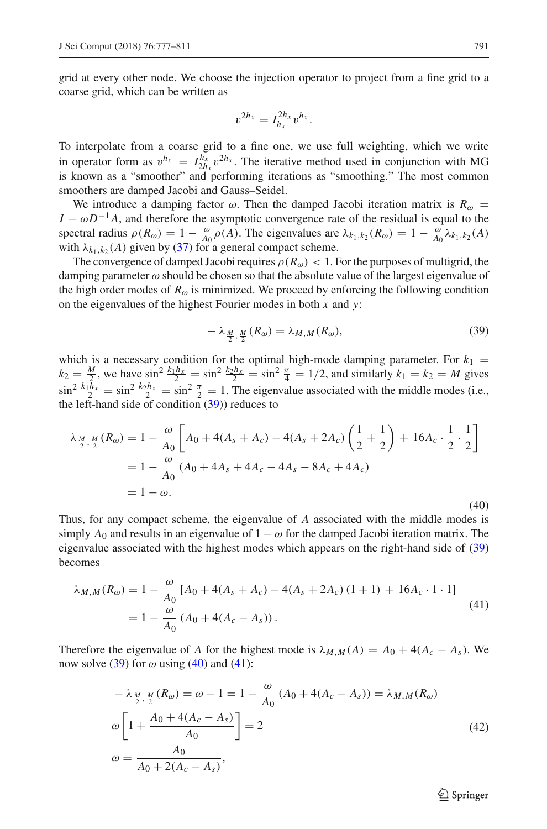grid at every other node. We choose the injection operator to project from a fine grid to a coarse grid, which can be written as

$$
v^{2h_x}=I_{h_x}^{2h_x}v^{h_x}.
$$

To interpolate from a coarse grid to a fine one, we use full weighting, which we write in operator form as  $v^{h_x} = I_{2h_x}^{h_x} v^{2h_x}$ . The iterative method used in conjunction with MG is known as a "smoother" and performing iterations as "smoothing." The most common smoothers are damped Jacobi and Gauss–Seidel.

We introduce a damping factor  $\omega$ . Then the damped Jacobi iteration matrix is  $R_{\omega}$  =  $I - \omega D^{-1}A$ , and therefore the asymptotic convergence rate of the residual is equal to the spectral radius  $\rho(R_\omega) = 1 - \frac{\omega}{A_0} \rho(A)$ . The eigenvalues are  $\lambda_{k_1, k_2}(R_\omega) = 1 - \frac{\omega}{A_0} \lambda_{k_1, k_2}(A)$ with  $\lambda_{k_1,k_2}(A)$  given by [\(37\)](#page-11-6) for a general compact scheme.

The convergence of damped Jacobi requires  $\rho(R_\omega) < 1$ . For the purposes of multigrid, the damping parameter  $\omega$  should be chosen so that the absolute value of the largest eigenvalue of the high order modes of  $R_{\omega}$  is minimized. We proceed by enforcing the following condition on the eigenvalues of the highest Fourier modes in both *x* and *y*:

<span id="page-14-0"></span>
$$
-\lambda_{\frac{M}{2},\frac{M}{2}}(R_{\omega}) = \lambda_{M,M}(R_{\omega}),
$$
\n(39)

which is a necessary condition for the optimal high-mode damping parameter. For  $k_1$  =  $k_2 = \frac{M}{2}$ , we have  $\sin^2 \frac{k_1 h_x}{2} = \sin^2 \frac{k_2 h_x}{2} = \sin^2 \frac{\pi}{4} = 1/2$ , and similarly  $k_1 = k_2 = M$  gives  $\sin^2 \frac{k_1 h_x}{2} = \sin^2 \frac{k_2 h_x}{2} = \sin^2 \frac{\pi}{2} = 1$ . The eigenvalue associated with the middle modes (i.e., the left-hand side of condition  $(39)$ ) reduces to

<span id="page-14-1"></span>
$$
\lambda_{\frac{M}{2},\frac{M}{2}}(R_{\omega}) = 1 - \frac{\omega}{A_0} \left[ A_0 + 4(A_s + A_c) - 4(A_s + 2A_c) \left( \frac{1}{2} + \frac{1}{2} \right) + 16A_c \cdot \frac{1}{2} \cdot \frac{1}{2} \right]
$$
  
=  $1 - \frac{\omega}{A_0} (A_0 + 4A_s + 4A_c - 4A_s - 8A_c + 4A_c)$   
=  $1 - \omega$ . (40)

Thus, for any compact scheme, the eigenvalue of *A* associated with the middle modes is simply  $A_0$  and results in an eigenvalue of  $1 - \omega$  for the damped Jacobi iteration matrix. The eigenvalue associated with the highest modes which appears on the right-hand side of [\(39\)](#page-14-0) becomes

<span id="page-14-2"></span>
$$
\lambda_{M,M}(R_{\omega}) = 1 - \frac{\omega}{A_0} \left[ A_0 + 4(A_s + A_c) - 4(A_s + 2A_c) \left( 1 + 1 \right) + 16A_c \cdot 1 \cdot 1 \right]
$$
  
= 
$$
1 - \frac{\omega}{A_0} \left( A_0 + 4(A_c - A_s) \right).
$$
 (41)

Therefore the eigenvalue of *A* for the highest mode is  $\lambda_{M,M}(A) = A_0 + 4(A_c - A_s)$ . We now solve [\(39\)](#page-14-0) for  $\omega$  using [\(40\)](#page-14-1) and [\(41\)](#page-14-2):

<span id="page-14-3"></span>
$$
-\lambda_{\frac{M}{2}, \frac{M}{2}}(R_{\omega}) = \omega - 1 = 1 - \frac{\omega}{A_0} (A_0 + 4(A_c - A_s)) = \lambda_{M, M}(R_{\omega})
$$
  

$$
\omega \left[ 1 + \frac{A_0 + 4(A_c - A_s)}{A_0} \right] = 2
$$
  

$$
\omega = \frac{A_0}{A_0 + 2(A_c - A_s)},
$$
\n(42)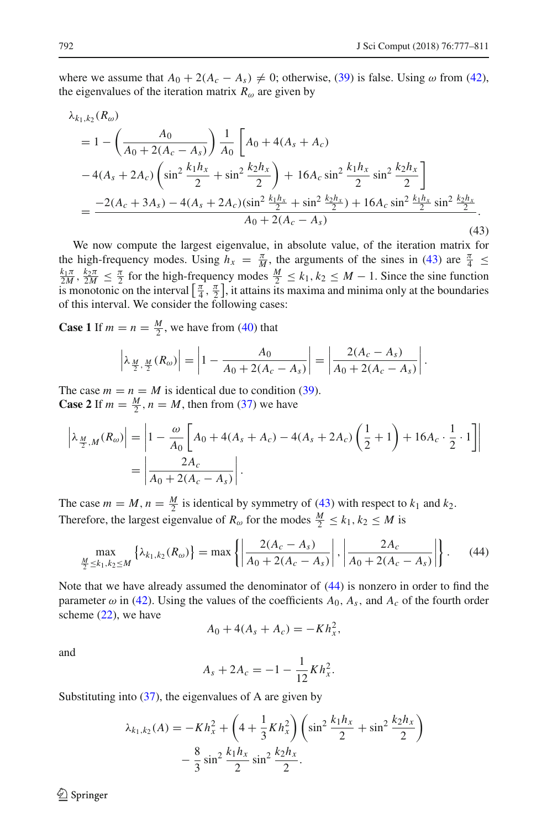where we assume that  $A_0 + 2(A_c - A_s) \neq 0$ ; otherwise, [\(39\)](#page-14-0) is false. Using  $\omega$  from [\(42\)](#page-14-3), the eigenvalues of the iteration matrix  $R_{\omega}$  are given by

<span id="page-15-0"></span>
$$
\lambda_{k_1,k_2}(R_{\omega})
$$
\n
$$
= 1 - \left(\frac{A_0}{A_0 + 2(A_c - A_s)}\right) \frac{1}{A_0} \left[A_0 + 4(A_s + A_c) -4(A_s + 2A_c)\left(\sin^2 \frac{k_1 h_x}{2} + \sin^2 \frac{k_2 h_x}{2}\right) + 16A_c \sin^2 \frac{k_1 h_x}{2} \sin^2 \frac{k_2 h_x}{2}\right]
$$
\n
$$
= \frac{-2(A_c + 3A_s) - 4(A_s + 2A_c)(\sin^2 \frac{k_1 h_x}{2} + \sin^2 \frac{k_2 h_x}{2}) + 16A_c \sin^2 \frac{k_1 h_x}{2} \sin^2 \frac{k_2 h_x}{2}}{A_0 + 2(A_c - A_s)}.
$$
\n(43)

We now compute the largest eigenvalue, in absolute value, of the iteration matrix for the high-frequency modes. Using  $h_x = \frac{\pi}{M}$ , the arguments of the sines in [\(43\)](#page-15-0) are  $\frac{\pi}{4} \le$  $\frac{k_1\pi}{2M}$ ,  $\frac{k_2\pi}{2M} \leq \frac{\pi}{2}$  for the high-frequency modes  $\frac{M}{2} \leq k_1, k_2 \leq M-1$ . Since the sine function is monotonic on the interval  $\left[\frac{\pi}{4}, \frac{\pi}{2}\right]$ , it attains its maxima and minima only at the boundaries of this interval. We consider the following cases:

**Case 1** If  $m = n = \frac{M}{2}$ , we have from [\(40\)](#page-14-1) that

$$
\left|\lambda_{\frac{M}{2},\frac{M}{2}}(R_{\omega})\right| = \left|1 - \frac{A_0}{A_0 + 2(A_c - A_s)}\right| = \left|\frac{2(A_c - A_s)}{A_0 + 2(A_c - A_s)}\right|.
$$

The case  $m = n = M$  is identical due to condition [\(39\)](#page-14-0). **Case 2** If  $m = \frac{M}{2}$ ,  $n = M$ , then from [\(37\)](#page-11-6) we have

$$
\left| \lambda_{\frac{M}{2},M}(R_{\omega}) \right| = \left| 1 - \frac{\omega}{A_0} \left[ A_0 + 4(A_s + A_c) - 4(A_s + 2A_c) \left( \frac{1}{2} + 1 \right) + 16A_c \cdot \frac{1}{2} \cdot 1 \right] \right|
$$
  
= 
$$
\left| \frac{2A_c}{A_0 + 2(A_c - A_s)} \right|.
$$

The case  $m = M$ ,  $n = \frac{M}{2}$  is identical by symmetry of [\(43\)](#page-15-0) with respect to  $k_1$  and  $k_2$ . Therefore, the largest eigenvalue of  $R_{\omega}$  for the modes  $\frac{M}{2} \le k_1, k_2 \le M$  is

<span id="page-15-1"></span>
$$
\max_{\frac{M}{2} \le k_1, k_2 \le M} \left\{ \lambda_{k_1, k_2}(R_\omega) \right\} = \max \left\{ \left| \frac{2(A_c - A_s)}{A_0 + 2(A_c - A_s)} \right|, \left| \frac{2A_c}{A_0 + 2(A_c - A_s)} \right| \right\}. \tag{44}
$$

Note that we have already assumed the denominator of [\(44\)](#page-15-1) is nonzero in order to find the parameter  $\omega$  in [\(42\)](#page-14-3). Using the values of the coefficients  $A_0$ ,  $A_s$ , and  $A_c$  of the fourth order scheme [\(22\)](#page-7-2), we have

$$
A_0 + 4(A_s + A_c) = -Kh_x^2,
$$

and

$$
A_s + 2A_c = -1 - \frac{1}{12}Kh_x^2.
$$

Substituting into  $(37)$ , the eigenvalues of A are given by

$$
\lambda_{k_1,k_2}(A) = -Kh_x^2 + \left(4 + \frac{1}{3}Kh_x^2\right)\left(\sin^2\frac{k_1h_x}{2} + \sin^2\frac{k_2h_x}{2}\right) - \frac{8}{3}\sin^2\frac{k_1h_x}{2}\sin^2\frac{k_2h_x}{2}.
$$

 $\circledcirc$  Springer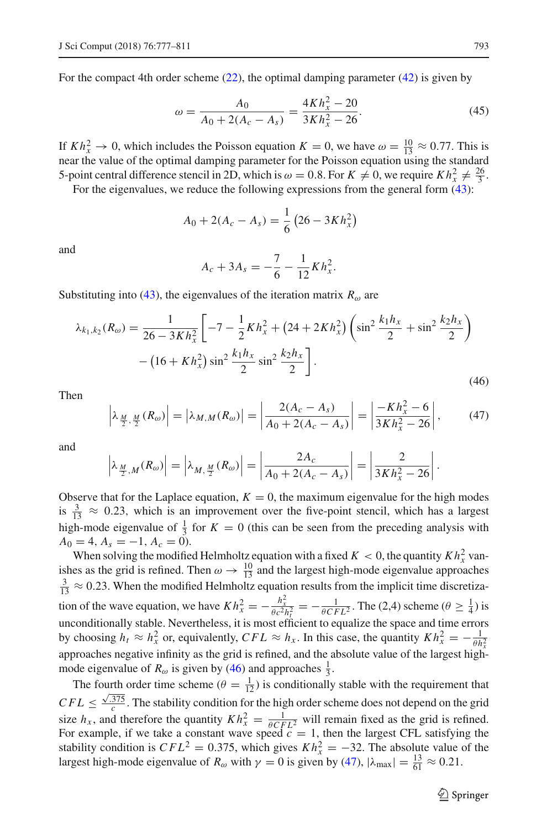For the compact 4th order scheme [\(22\)](#page-7-2), the optimal damping parameter [\(42\)](#page-14-3) is given by

<span id="page-16-2"></span>
$$
\omega = \frac{A_0}{A_0 + 2(A_c - A_s)} = \frac{4Kh_x^2 - 20}{3Kh_x^2 - 26}.\tag{45}
$$

If  $Kh_x^2 \rightarrow 0$ , which includes the Poisson equation  $K = 0$ , we have  $\omega = \frac{10}{13} \approx 0.77$ . This is near the value of the optimal damping parameter for the Poisson equation using the standard 5-point central difference stencil in 2D, which is  $\omega = 0.8$ . For  $K \neq 0$ , we require  $Kh_x^2 \neq \frac{26}{3}$ .

For the eigenvalues, we reduce the following expressions from the general form  $(43)$ :

$$
A_0 + 2(A_c - A_s) = \frac{1}{6} \left( 26 - 3Kh_x^2 \right)
$$

and

$$
A_c + 3A_s = -\frac{7}{6} - \frac{1}{12}Kh_x^2.
$$

Substituting into [\(43\)](#page-15-0), the eigenvalues of the iteration matrix  $R_{\omega}$  are

<span id="page-16-0"></span>
$$
\lambda_{k_1, k_2}(R_{\omega}) = \frac{1}{26 - 3Kh_x^2} \left[ -7 - \frac{1}{2}Kh_x^2 + (24 + 2Kh_x^2) \left( \sin^2 \frac{k_1h_x}{2} + \sin^2 \frac{k_2h_x}{2} \right) - \left( 16 + Kh_x^2 \right) \sin^2 \frac{k_1h_x}{2} \sin^2 \frac{k_2h_x}{2} \right].
$$
\n(46)

Then

<span id="page-16-1"></span>
$$
\left|\lambda_{\frac{M}{2},\frac{M}{2}}(R_{\omega})\right| = \left|\lambda_{M,M}(R_{\omega})\right| = \left|\frac{2(A_c - A_s)}{A_0 + 2(A_c - A_s)}\right| = \left|\frac{-Kh_x^2 - 6}{3Kh_x^2 - 26}\right|,\tag{47}
$$

and

$$
\left|\lambda_{\frac{M}{2},M}(R_{\omega})\right| = \left|\lambda_{M,\frac{M}{2}}(R_{\omega})\right| = \left|\frac{2A_c}{A_0 + 2(A_c - A_s)}\right| = \left|\frac{2}{3Kh_x^2 - 26}\right|.
$$

Observe that for the Laplace equation,  $K = 0$ , the maximum eigenvalue for the high modes is  $\frac{3}{13} \approx 0.23$ , which is an improvement over the five-point stencil, which has a largest high-mode eigenvalue of  $\frac{1}{3}$  for  $K = 0$  (this can be seen from the preceding analysis with  $A_0 = 4, A_s = -1, A_c = 0.$ 

When solving the modified Helmholtz equation with a fixed  $K < 0$ , the quantity  $Kh_x^2$  vanishes as the grid is refined. Then  $\omega \to \frac{10}{13}$  and the largest high-mode eigenvalue approaches  $\frac{3}{13} \approx 0.23$ . When the modified Helmholtz equation results from the implicit time discretization of the wave equation, we have  $Kh_x^2 = -\frac{h_x^2}{\theta c^2 h_t^2} = -\frac{1}{\theta CFL^2}$ . The (2,4) scheme ( $\theta \ge \frac{1}{4}$ ) is unconditionally stable. Nevertheless, it is most efficient to equalize the space and time errors by choosing  $h_t \approx h_x^2$  or, equivalently,  $CFL \approx h_x$ . In this case, the quantity  $Kh_x^2 = -\frac{1}{\theta h_x^2}$  approaches negative infinity as the grid is refined, and the absolute value of the largest highmode eigenvalue of  $R_{\omega}$  is given by [\(46\)](#page-16-0) and approaches  $\frac{1}{3}$ .

The fourth order time scheme  $(\theta = \frac{1}{12})$  is conditionally stable with the requirement that  $CFL \leq \frac{\sqrt{375}}{c}$ . The stability condition for the high order scheme does not depend on the grid size  $h_x$ , and therefore the quantity  $Kh_x^2 = \frac{1}{\theta CFL^2}$  will remain fixed as the grid is refined. For example, if we take a constant wave speed  $c = 1$ , then the largest CFL satisfying the stability condition is  $CFL^2 = 0.375$ , which gives  $Kh_x^2 = -32$ . The absolute value of the largest high-mode eigenvalue of  $R_{\omega}$  with  $\gamma = 0$  is given by [\(47\)](#page-16-1),  $|\lambda_{\text{max}}| = \frac{13}{61} \approx 0.21$ .

 $\circled{2}$  Springer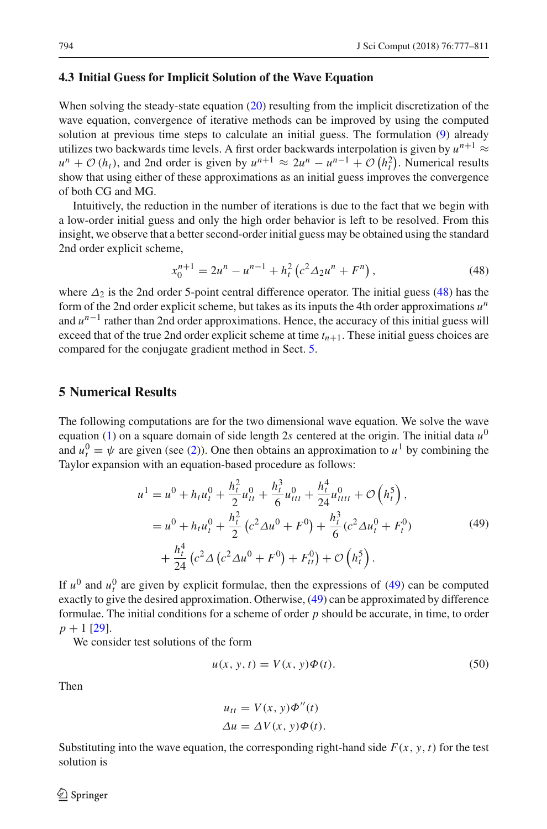#### <span id="page-17-1"></span>**4.3 Initial Guess for Implicit Solution of the Wave Equation**

When solving the steady-state equation [\(20\)](#page-7-1) resulting from the implicit discretization of the wave equation, convergence of iterative methods can be improved by using the computed solution at previous time steps to calculate an initial guess. The formulation [\(9\)](#page-4-1) already utilizes two backwards time levels. A first order backwards interpolation is given by  $u^{n+1} \approx$  $u^n + O(h_t)$ , and 2nd order is given by  $u^{n+1} \approx 2u^n - u^{n-1} + O(h_t^2)$ . Numerical results show that using either of these approximations as an initial guess improves the convergence of both CG and MG.

Intuitively, the reduction in the number of iterations is due to the fact that we begin with a low-order initial guess and only the high order behavior is left to be resolved. From this insight, we observe that a better second-order initial guess may be obtained using the standard 2nd order explicit scheme,

<span id="page-17-2"></span>
$$
x_0^{n+1} = 2u^n - u^{n-1} + h_t^2 (c^2 \Delta_2 u^n + F^n), \qquad (48)
$$

where  $\Delta_2$  is the 2nd order 5-point central difference operator. The initial guess [\(48\)](#page-17-2) has the form of the 2nd order explicit scheme, but takes as its inputs the 4th order approximations *u<sup>n</sup>* and  $u^{n-1}$  rather than 2nd order approximations. Hence, the accuracy of this initial guess will exceed that of the true 2nd order explicit scheme at time  $t_{n+1}$ . These initial guess choices are compared for the conjugate gradient method in Sect. [5.](#page-17-0)

# <span id="page-17-0"></span>**5 Numerical Results**

The following computations are for the two dimensional wave equation. We solve the wave equation [\(1\)](#page-3-1) on a square domain of side length 2*s* centered at the origin. The initial data *u*<sup>0</sup> and  $u_t^0 = \psi$  are given (see [\(2\)](#page-3-6)). One then obtains an approximation to  $u^1$  by combining the Taylor expansion with an equation-based procedure as follows:

<span id="page-17-3"></span>
$$
u^{1} = u^{0} + h_{t}u_{t}^{0} + \frac{h_{t}^{2}}{2}u_{tt}^{0} + \frac{h_{t}^{3}}{6}u_{ttt}^{0} + \frac{h_{t}^{4}}{24}u_{tttt}^{0} + \mathcal{O}\left(h_{t}^{5}\right),
$$
  
\n
$$
= u^{0} + h_{t}u_{t}^{0} + \frac{h_{t}^{2}}{2}\left(c^{2}\Delta u^{0} + F^{0}\right) + \frac{h_{t}^{3}}{6}\left(c^{2}\Delta u_{t}^{0} + F_{t}^{0}\right)
$$
  
\n
$$
+ \frac{h_{t}^{4}}{24}\left(c^{2}\Delta\left(c^{2}\Delta u^{0} + F^{0}\right) + F_{tt}^{0}\right) + \mathcal{O}\left(h_{t}^{5}\right).
$$
\n(49)

If  $u^0$  and  $u_t^0$  are given by explicit formulae, then the expressions of [\(49\)](#page-17-3) can be computed exactly to give the desired approximation. Otherwise, [\(49\)](#page-17-3) can be approximated by difference formulae. The initial conditions for a scheme of order *p* should be accurate, in time, to order  $p + 1$  [\[29\]](#page-34-16).

We consider test solutions of the form

<span id="page-17-4"></span>
$$
u(x, y, t) = V(x, y)\Phi(t).
$$
\n(50)

Then

$$
u_{tt} = V(x, y)\Phi''(t)
$$
  
\n
$$
\Delta u = \Delta V(x, y)\Phi(t).
$$

Substituting into the wave equation, the corresponding right-hand side  $F(x, y, t)$  for the test solution is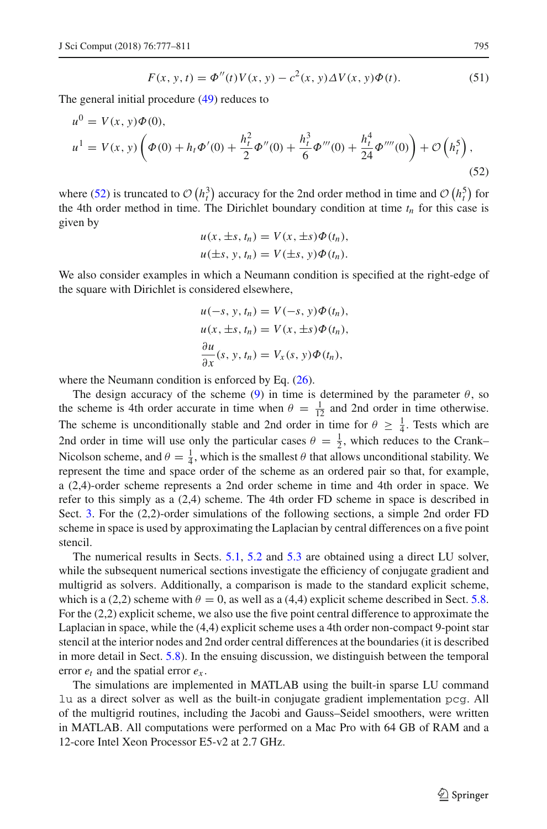<span id="page-18-1"></span>
$$
F(x, y, t) = \Phi''(t) V(x, y) - c^{2}(x, y) \Delta V(x, y) \Phi(t).
$$
 (51)

The general initial procedure [\(49\)](#page-17-3) reduces to

<span id="page-18-0"></span>
$$
u^{0} = V(x, y)\Phi(0),
$$
  
\n
$$
u^{1} = V(x, y)\left(\Phi(0) + h_{t}\Phi'(0) + \frac{h_{t}^{2}}{2}\Phi''(0) + \frac{h_{t}^{3}}{6}\Phi'''(0) + \frac{h_{t}^{4}}{24}\Phi''''(0)\right) + \mathcal{O}\left(h_{t}^{5}\right),
$$
\n(52)

where [\(52\)](#page-18-0) is truncated to  $\mathcal{O}(h_t^3)$  accuracy for the 2nd order method in time and  $\mathcal{O}(h_t^5)$  for the 4th order method in time. The Dirichlet boundary condition at time  $t_n$  for this case is given by

$$
u(x, \pm s, t_n) = V(x, \pm s)\Phi(t_n),
$$
  

$$
u(\pm s, y, t_n) = V(\pm s, y)\Phi(t_n).
$$

We also consider examples in which a Neumann condition is specified at the right-edge of the square with Dirichlet is considered elsewhere,

$$
u(-s, y, t_n) = V(-s, y)\Phi(t_n),
$$
  

$$
u(x, \pm s, t_n) = V(x, \pm s)\Phi(t_n),
$$
  

$$
\frac{\partial u}{\partial x}(s, y, t_n) = V_x(s, y)\Phi(t_n),
$$

where the Neumann condition is enforced by Eq.  $(26)$ .

The design accuracy of the scheme [\(9\)](#page-4-1) in time is determined by the parameter  $\theta$ , so the scheme is 4th order accurate in time when  $\theta = \frac{1}{12}$  and 2nd order in time otherwise. The scheme is unconditionally stable and 2nd order in time for  $\theta \geq \frac{1}{4}$ . Tests which are 2nd order in time will use only the particular cases  $\theta = \frac{1}{2}$ , which reduces to the Crank– Nicolson scheme, and  $\theta = \frac{1}{4}$ , which is the smallest  $\theta$  that allows unconditional stability. We represent the time and space order of the scheme as an ordered pair so that, for example, a (2,4)-order scheme represents a 2nd order scheme in time and 4th order in space. We refer to this simply as a (2,4) scheme. The 4th order FD scheme in space is described in Sect. [3.](#page-7-0) For the (2,2)-order simulations of the following sections, a simple 2nd order FD scheme in space is used by approximating the Laplacian by central differences on a five point stencil.

The numerical results in Sects. [5.1,](#page-19-0) [5.2](#page-21-0) and [5.3](#page-24-0) are obtained using a direct LU solver, while the subsequent numerical sections investigate the efficiency of conjugate gradient and multigrid as solvers. Additionally, a comparison is made to the standard explicit scheme, which is a (2,2) scheme with  $\theta = 0$ , as well as a (4,4) explicit scheme described in Sect. [5.8.](#page-29-1) For the (2,2) explicit scheme, we also use the five point central difference to approximate the Laplacian in space, while the (4,4) explicit scheme uses a 4th order non-compact 9-point star stencil at the interior nodes and 2nd order central differences at the boundaries (it is described in more detail in Sect. [5.8\)](#page-29-1). In the ensuing discussion, we distinguish between the temporal error  $e_t$  and the spatial error  $e_x$ .

The simulations are implemented in MATLAB using the built-in sparse LU command lu as a direct solver as well as the built-in conjugate gradient implementation pcg. All of the multigrid routines, including the Jacobi and Gauss–Seidel smoothers, were written in MATLAB. All computations were performed on a Mac Pro with 64 GB of RAM and a 12-core Intel Xeon Processor E5-v2 at 2.7 GHz.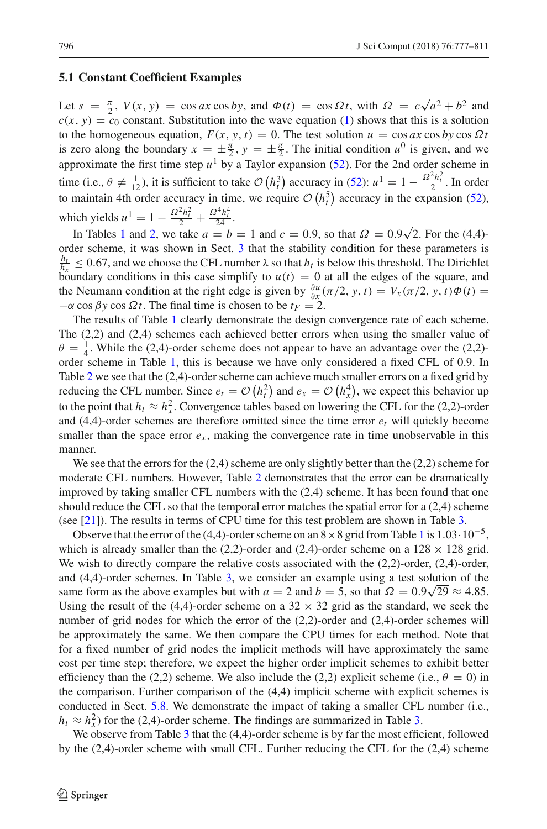#### <span id="page-19-0"></span>**5.1 Constant Coefficient Examples**

Let  $s = \frac{\pi}{2}$ ,  $V(x, y) = \cos ax \cos by$ , and  $\Phi(t) = \cos \Omega t$ , with  $\Omega = c\sqrt{a^2 + b^2}$  and  $c(x, y) = c_0$  constant. Substitution into the wave equation [\(1\)](#page-3-1) shows that this is a solution to the homogeneous equation,  $F(x, y, t) = 0$ . The test solution  $u = \cos ax \cos by \cos \Omega t$ is zero along the boundary  $x = \pm \frac{\pi}{2}$ ,  $y = \pm \frac{\pi}{2}$ . The initial condition  $u^0$  is given, and we approximate the first time step  $u^1$  by a Taylor expansion [\(52\)](#page-18-0). For the 2nd order scheme in time (i.e.,  $\theta \neq \frac{1}{12}$ ), it is sufficient to take  $\mathcal{O}(h_t^3)$  accuracy in [\(52\)](#page-18-0):  $u^1 = 1 - \frac{\Omega^2 h_t^2}{2}$ . In order to maintain 4th order accuracy in time, we require  $\mathcal{O}(h_t^5)$  accuracy in the expansion [\(52\)](#page-18-0), which yields  $u^1 = 1 - \frac{\Omega^2 h_t^2}{2} + \frac{\Omega^4 h_t^4}{24}$ .

In Tables [1](#page-20-0) and [2,](#page-21-1) we take  $a = b = 1$  and  $c = 0.9$ , so that  $\Omega = 0.9\sqrt{2}$ . For the (4,4)order scheme, it was shown in Sect. [3](#page-7-0) that the stability condition for these parameters is  $\frac{h_t}{h_x} \le 0.67$ , and we choose the CFL number  $\lambda$  so that  $h_t$  is below this threshold. The Dirichlet boundary conditions in this case simplify to  $u(t) = 0$  at all the edges of the square, and the Neumann condition at the right edge is given by  $\frac{\partial u}{\partial x}(\pi/2, y, t) = V_x(\pi/2, y, t)\Phi(t) =$  $-\alpha \cos \beta y \cos \Omega t$ . The final time is chosen to be  $t_F = 2$ .

The results of Table [1](#page-20-0) clearly demonstrate the design convergence rate of each scheme. The (2,2) and (2,4) schemes each achieved better errors when using the smaller value of  $\theta = \frac{1}{4}$ . While the (2,4)-order scheme does not appear to have an advantage over the (2,2)order scheme in Table [1,](#page-20-0) this is because we have only considered a fixed CFL of 0.9. In Table [2](#page-21-1) we see that the (2,4)-order scheme can achieve much smaller errors on a fixed grid by reducing the CFL number. Since  $e_t = \mathcal{O}(h_t^2)$  and  $e_x = \mathcal{O}(h_x^4)$ , we expect this behavior up to the point that  $h_t \approx h_x^2$ . Convergence tables based on lowering the CFL for the (2,2)-order and  $(4,4)$ -order schemes are therefore omitted since the time error  $e_t$  will quickly become smaller than the space error  $e_x$ , making the convergence rate in time unobservable in this manner.

We see that the errors for the  $(2,4)$  scheme are only slightly better than the  $(2,2)$  scheme for moderate CFL numbers. However, Table [2](#page-21-1) demonstrates that the error can be dramatically improved by taking smaller CFL numbers with the (2,4) scheme. It has been found that one should reduce the CFL so that the temporal error matches the spatial error for a (2,4) scheme (see [\[21](#page-33-24)]). The results in terms of CPU time for this test problem are shown in Table [3.](#page-21-2)

Observe that the error of the (4,4)-order scheme on an  $8 \times 8$  grid from Table [1](#page-20-0) is  $1.03 \cdot 10^{-5}$ , which is already smaller than the (2,2)-order and (2,4)-order scheme on a  $128 \times 128$  grid. We wish to directly compare the relative costs associated with the  $(2,2)$ -order,  $(2,4)$ -order, and (4,4)-order schemes. In Table [3,](#page-21-2) we consider an example using a test solution of the same form as the above examples but with  $a = 2$  and  $b = 5$ , so that  $\Omega = 0.9\sqrt{29} \approx 4.85$ . Using the result of the (4,4)-order scheme on a  $32 \times 32$  grid as the standard, we seek the number of grid nodes for which the error of the (2,2)-order and (2,4)-order schemes will be approximately the same. We then compare the CPU times for each method. Note that for a fixed number of grid nodes the implicit methods will have approximately the same cost per time step; therefore, we expect the higher order implicit schemes to exhibit better efficiency than the (2,2) scheme. We also include the (2,2) explicit scheme (i.e.,  $\theta = 0$ ) in the comparison. Further comparison of the  $(4,4)$  implicit scheme with explicit schemes is conducted in Sect. [5.8.](#page-29-1) We demonstrate the impact of taking a smaller CFL number (i.e.,  $h_t \approx h_x^2$ ) for the (2,4)-order scheme. The findings are summarized in Table [3.](#page-21-2)

We observe from Table [3](#page-21-2) that the (4,4)-order scheme is by far the most efficient, followed by the (2,4)-order scheme with small CFL. Further reducing the CFL for the (2,4) scheme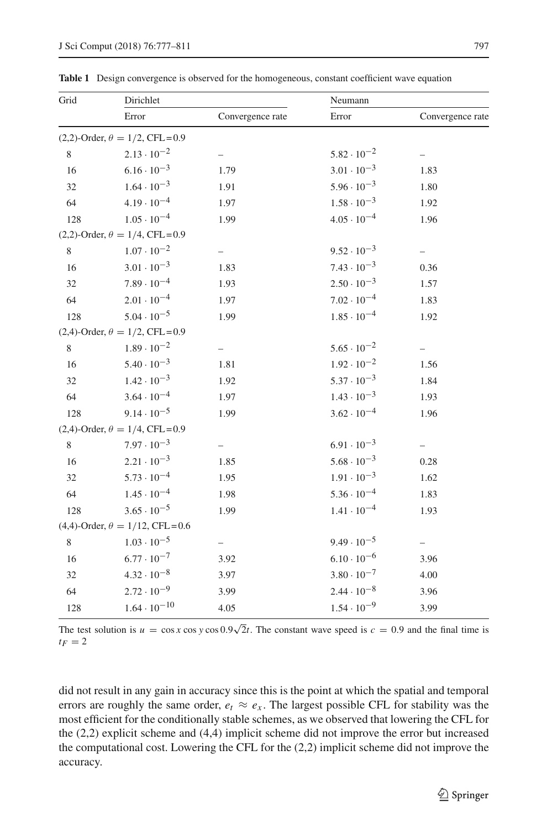| Grid | Dirichlet                                 |                          | Neumann              |                          |  |
|------|-------------------------------------------|--------------------------|----------------------|--------------------------|--|
|      | Error                                     | Convergence rate         | Error                | Convergence rate         |  |
|      | $(2,2)$ -Order, $\theta = 1/2$ , CFL=0.9  |                          |                      |                          |  |
| 8    | $2.13 \cdot 10^{-2}$                      |                          | $5.82 \cdot 10^{-2}$ |                          |  |
| 16   | $6.16 \cdot 10^{-3}$                      | 1.79                     | $3.01 \cdot 10^{-3}$ | 1.83                     |  |
| 32   | $1.64 \cdot 10^{-3}$                      | 1.91                     | $5.96 \cdot 10^{-3}$ | 1.80                     |  |
| 64   | $4.19 \cdot 10^{-4}$                      | 1.97                     | $1.58 \cdot 10^{-3}$ | 1.92                     |  |
| 128  | $1.05 \cdot 10^{-4}$                      | 1.99                     | $4.05 \cdot 10^{-4}$ | 1.96                     |  |
|      | $(2,2)$ -Order, $\theta = 1/4$ , CFL=0.9  |                          |                      |                          |  |
| 8    | $1.07 \cdot 10^{-2}$                      | $\overline{\phantom{0}}$ | $9.52 \cdot 10^{-3}$ | $\overline{\phantom{0}}$ |  |
| 16   | $3.01 \cdot 10^{-3}$                      | 1.83                     | $7.43 \cdot 10^{-3}$ | 0.36                     |  |
| 32   | $7.89 \cdot 10^{-4}$                      | 1.93                     | $2.50 \cdot 10^{-3}$ | 1.57                     |  |
| 64   | $2.01 \cdot 10^{-4}$                      | 1.97                     | $7.02 \cdot 10^{-4}$ | 1.83                     |  |
| 128  | $5.04 \cdot 10^{-5}$                      | 1.99                     | $1.85 \cdot 10^{-4}$ | 1.92                     |  |
|      | $(2,4)$ -Order, $\theta = 1/2$ , CFL=0.9  |                          |                      |                          |  |
| 8    | $1.89 \cdot 10^{-2}$                      |                          | $5.65 \cdot 10^{-2}$ |                          |  |
| 16   | $5.40 \cdot 10^{-3}$                      | 1.81                     | $1.92 \cdot 10^{-2}$ | 1.56                     |  |
| 32   | $1.42 \cdot 10^{-3}$                      | 1.92                     | $5.37 \cdot 10^{-3}$ | 1.84                     |  |
| 64   | $3.64 \cdot 10^{-4}$                      | 1.97                     | $1.43 \cdot 10^{-3}$ | 1.93                     |  |
| 128  | $9.14 \cdot 10^{-5}$                      | 1.99                     | $3.62 \cdot 10^{-4}$ | 1.96                     |  |
|      | $(2,4)$ -Order, $\theta = 1/4$ , CFL=0.9  |                          |                      |                          |  |
| 8    | $7.97 \cdot 10^{-3}$                      |                          | $6.91 \cdot 10^{-3}$ |                          |  |
| 16   | $2.21 \cdot 10^{-3}$                      | 1.85                     | $5.68 \cdot 10^{-3}$ | 0.28                     |  |
| 32   | $5.73 \cdot 10^{-4}$                      | 1.95                     | $1.91 \cdot 10^{-3}$ | 1.62                     |  |
| 64   | $1.45 \cdot 10^{-4}$                      | 1.98                     | $5.36 \cdot 10^{-4}$ | 1.83                     |  |
| 128  | $3.65 \cdot 10^{-5}$                      | 1.99                     | $1.41 \cdot 10^{-4}$ | 1.93                     |  |
|      | $(4,4)$ -Order, $\theta = 1/12$ , CFL=0.6 |                          |                      |                          |  |
| 8    | $1.03 \cdot 10^{-5}$                      | $\overline{\phantom{0}}$ | $9.49 \cdot 10^{-5}$ |                          |  |
| 16   | $6.77 \cdot 10^{-7}$                      | 3.92                     | $6.10 \cdot 10^{-6}$ | 3.96                     |  |
| 32   | $4.32 \cdot 10^{-8}$                      | 3.97                     | $3.80 \cdot 10^{-7}$ | 4.00                     |  |
| 64   | $2.72 \cdot 10^{-9}$                      | 3.99                     | $2.44 \cdot 10^{-8}$ | 3.96                     |  |
| 128  | $1.64 \cdot 10^{-10}$                     | 4.05                     | $1.54 \cdot 10^{-9}$ | 3.99                     |  |

<span id="page-20-0"></span>**Table 1** Design convergence is observed for the homogeneous, constant coefficient wave equation

The test solution is  $u = \cos x \cos y \cos 0.9\sqrt{2}t$ . The constant wave speed is  $c = 0.9$  and the final time is  $t_F = 2$ 

did not result in any gain in accuracy since this is the point at which the spatial and temporal errors are roughly the same order,  $e_t \approx e_x$ . The largest possible CFL for stability was the most efficient for the conditionally stable schemes, as we observed that lowering the CFL for the (2,2) explicit scheme and (4,4) implicit scheme did not improve the error but increased the computational cost. Lowering the CFL for the (2,2) implicit scheme did not improve the accuracy.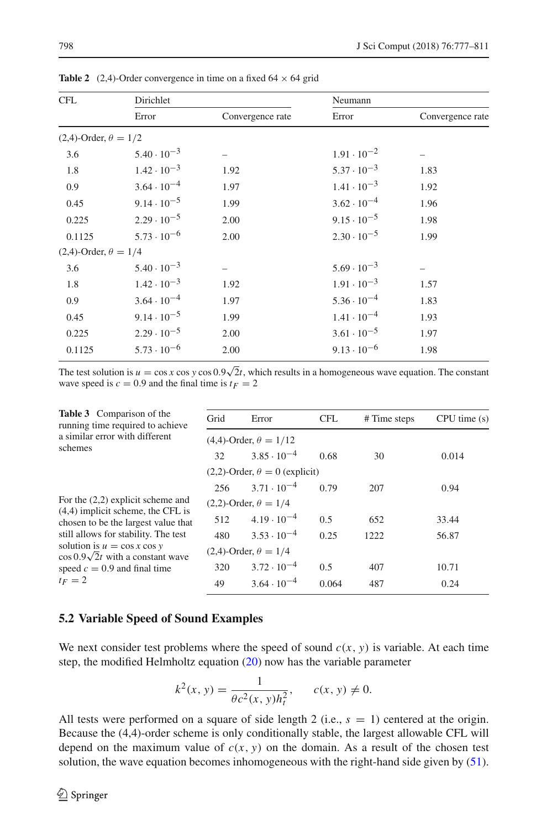<span id="page-21-1"></span>

| <b>CFL</b>                     | Dirichlet            |                  | Neumann              |                  |  |
|--------------------------------|----------------------|------------------|----------------------|------------------|--|
|                                | Error                | Convergence rate | Error                | Convergence rate |  |
| $(2,4)$ -Order, $\theta = 1/2$ |                      |                  |                      |                  |  |
| 3.6                            | $5.40 \cdot 10^{-3}$ |                  | $1.91 \cdot 10^{-2}$ |                  |  |
| 1.8                            | $1.42 \cdot 10^{-3}$ | 1.92             | $5.37 \cdot 10^{-3}$ | 1.83             |  |
| 0.9                            | $3.64 \cdot 10^{-4}$ | 1.97             | $1.41 \cdot 10^{-3}$ | 1.92             |  |
| 0.45                           | $9.14 \cdot 10^{-5}$ | 1.99             | $3.62 \cdot 10^{-4}$ | 1.96             |  |
| 0.225                          | $2.29 \cdot 10^{-5}$ | 2.00             | $9.15 \cdot 10^{-5}$ | 1.98             |  |
| 0.1125                         | $5.73 \cdot 10^{-6}$ | 2.00             | $2.30 \cdot 10^{-5}$ | 1.99             |  |
| $(2,4)$ -Order, $\theta = 1/4$ |                      |                  |                      |                  |  |
| 3.6                            | $5.40 \cdot 10^{-3}$ |                  | $5.69 \cdot 10^{-3}$ |                  |  |
| 1.8                            | $1.42 \cdot 10^{-3}$ | 1.92             | $1.91 \cdot 10^{-3}$ | 1.57             |  |
| 0.9                            | $3.64 \cdot 10^{-4}$ | 1.97             | $5.36 \cdot 10^{-4}$ | 1.83             |  |
| 0.45                           | $9.14 \cdot 10^{-5}$ | 1.99             | $1.41 \cdot 10^{-4}$ | 1.93             |  |
| 0.225                          | $2.29 \cdot 10^{-5}$ | 2.00             | $3.61 \cdot 10^{-5}$ | 1.97             |  |
| 0.1125                         | $5.73 \cdot 10^{-6}$ | 2.00             | $9.13 \cdot 10^{-6}$ | 1.98             |  |

**Table 2** (2,4)-Order convergence in time on a fixed  $64 \times 64$  grid

The test solution is  $u = \cos x \cos y \cos 0.9\sqrt{2}t$ , which results in a homogeneous wave equation. The constant wave speed is  $c = 0.9$  and the final time is  $t_F = 2$ 

<span id="page-21-2"></span>

| <b>Table 3</b> Comparison of the<br>running time required to achieve        | Grid                           | Error                                   | <b>CFL</b> | # Time steps | CPU time(s) |  |
|-----------------------------------------------------------------------------|--------------------------------|-----------------------------------------|------------|--------------|-------------|--|
| a similar error with different<br>schemes                                   |                                | $(4,4)$ -Order, $\theta = 1/12$         |            |              |             |  |
|                                                                             | 32                             | $3.85 \cdot 10^{-4}$                    | 0.68       | 30           | 0.014       |  |
|                                                                             |                                | $(2,2)$ -Order, $\theta = 0$ (explicit) |            |              |             |  |
|                                                                             | 256                            | $3.71 \cdot 10^{-4}$                    | 0.79       | 207          | 0.94        |  |
| For the $(2,2)$ explicit scheme and                                         | $(2,2)$ -Order, $\theta = 1/4$ |                                         |            |              |             |  |
| $(4,4)$ implicit scheme, the CFL is<br>chosen to be the largest value that  |                                | $512 \qquad 4.19 \cdot 10^{-4}$         | 0.5        | 652          | 33.44       |  |
| still allows for stability. The test                                        | 480                            | $3.53 \cdot 10^{-4}$                    | 0.25       | 1222         | 56.87       |  |
| solution is $u = \cos x \cos y$<br>$\cos 0.9\sqrt{2}t$ with a constant wave |                                | $(2,4)$ -Order, $\theta = 1/4$          |            |              |             |  |
| speed $c = 0.9$ and final time                                              | 320                            | $3.72 \cdot 10^{-4}$                    | 0.5        | 407          | 10.71       |  |
| $t_F=2$                                                                     | 49                             | $3.64 \cdot 10^{-4}$                    | 0.064      | 487          | 0.24        |  |
|                                                                             |                                |                                         |            |              |             |  |

### <span id="page-21-0"></span>**5.2 Variable Speed of Sound Examples**

We next consider test problems where the speed of sound  $c(x, y)$  is variable. At each time step, the modified Helmholtz equation [\(20\)](#page-7-1) now has the variable parameter

$$
k^2(x, y) = \frac{1}{\theta c^2(x, y)h_t^2}
$$
,  $c(x, y) \neq 0$ .

All tests were performed on a square of side length 2 (i.e.,  $s = 1$ ) centered at the origin. Because the (4,4)-order scheme is only conditionally stable, the largest allowable CFL will depend on the maximum value of  $c(x, y)$  on the domain. As a result of the chosen test solution, the wave equation becomes inhomogeneous with the right-hand side given by [\(51\)](#page-18-1).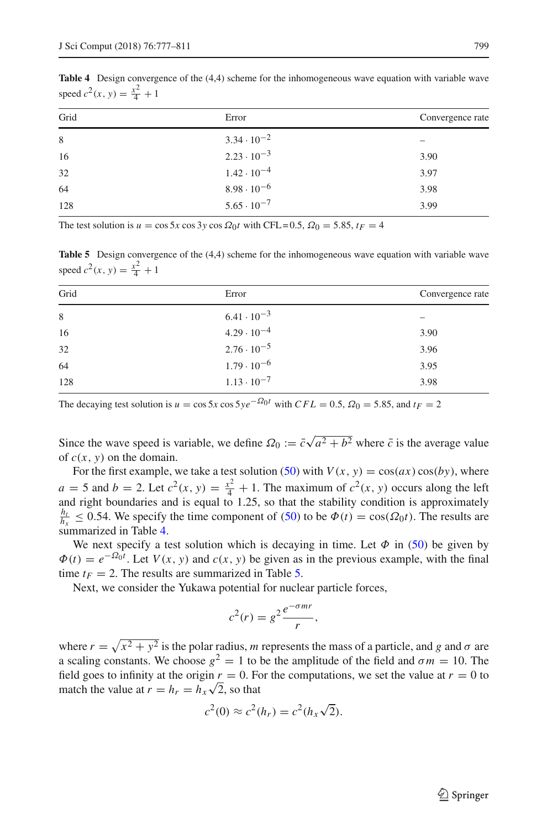<span id="page-22-0"></span>**Table 4** Design convergence of the (4,4) scheme for the inhomogeneous wave equation with variable wave speed  $c^2(x, y) = \frac{x^2}{4} + 1$ 

| Grid | Error                | Convergence rate |
|------|----------------------|------------------|
| 8    | $3.34 \cdot 10^{-2}$ |                  |
| 16   | $2.23 \cdot 10^{-3}$ | 3.90             |
| 32   | $1.42 \cdot 10^{-4}$ | 3.97             |
| 64   | $8.98 \cdot 10^{-6}$ | 3.98             |
| 128  | $5.65 \cdot 10^{-7}$ | 3.99             |

The test solution is  $u = \cos 5x \cos 3y \cos \Omega_0 t$  with CFL = 0.5,  $\Omega_0 = 5.85$ ,  $t_F = 4$ 

<span id="page-22-1"></span>**Table 5** Design convergence of the (4,4) scheme for the inhomogeneous wave equation with variable wave speed  $c^2(x, y) = \frac{x^2}{4} + 1$ 

| Grid | Error                | Convergence rate |
|------|----------------------|------------------|
| 8    | $6.41 \cdot 10^{-3}$ |                  |
| 16   | $4.29 \cdot 10^{-4}$ | 3.90             |
| 32   | $2.76 \cdot 10^{-5}$ | 3.96             |
| 64   | $1.79 \cdot 10^{-6}$ | 3.95             |
| 128  | $1.13 \cdot 10^{-7}$ | 3.98             |

The decaying test solution is  $u = \cos 5x \cos 5y e^{-\Omega_0 t}$  with  $CFL = 0.5$ ,  $\Omega_0 = 5.85$ , and  $t_F = 2$ 

Since the wave speed is variable, we define  $\Omega_0 := \bar{c}\sqrt{a^2 + b^2}$  where  $\bar{c}$  is the average value of  $c(x, y)$  on the domain.

For the first example, we take a test solution [\(50\)](#page-17-4) with  $V(x, y) = cos(ax) cos(by)$ , where  $a = 5$  and  $b = 2$ . Let  $c^2(x, y) = \frac{x^2}{4} + 1$ . The maximum of  $c^2(x, y)$  occurs along the left and right boundaries and is equal to 1.25, so that the stability condition is approximately  $\frac{h_t}{h_x} \leq 0.54$ . We specify the time component of [\(50\)](#page-17-4) to be  $\Phi(t) = \cos(\Omega_0 t)$ . The results are summarized in Table [4.](#page-22-0)

We next specify a test solution which is decaying in time. Let  $\Phi$  in [\(50\)](#page-17-4) be given by  $\Phi(t) = e^{-\Omega_0 t}$ . Let  $V(x, y)$  and  $c(x, y)$  be given as in the previous example, with the final time  $t_F = 2$ . The results are summarized in Table [5.](#page-22-1)

Next, we consider the Yukawa potential for nuclear particle forces,

$$
c^2(r) = g^2 \frac{e^{-\sigma mr}}{r},
$$

where  $r = \sqrt{x^2 + y^2}$  is the polar radius, *m* represents the mass of a particle, and *g* and  $\sigma$  are a scaling constants. We choose  $g^2 = 1$  to be the amplitude of the field and  $\sigma m = 10$ . The field goes to infinity at the origin  $r = 0$ . For the computations, we set the value at  $r = 0$  to match the value at  $r = h_r = h_x \sqrt{2}$ , so that

$$
c2(0) \approx c2(hr) = c2(hx\sqrt{2}).
$$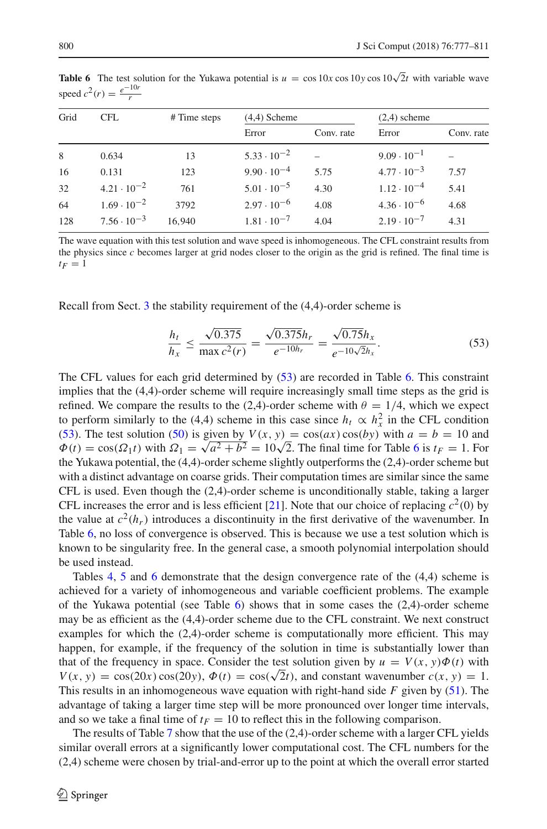| Grid<br><b>CFL</b> |                      | # Time steps | $(4,4)$ Scheme       |       |                      | $(2,4)$ scheme |  |
|--------------------|----------------------|--------------|----------------------|-------|----------------------|----------------|--|
|                    |                      | Error        | Conv. rate           | Error | Conv. rate           |                |  |
| 8                  | 0.634                | 13           | $5.33 \cdot 10^{-2}$ |       | $9.09 \cdot 10^{-1}$ |                |  |
| 16                 | 0.131                | 123          | $9.90 \cdot 10^{-4}$ | 5.75  | $4.77 \cdot 10^{-3}$ | 7.57           |  |
| 32                 | $4.21 \cdot 10^{-2}$ | 761          | $5.01 \cdot 10^{-5}$ | 4.30  | $1.12 \cdot 10^{-4}$ | 5.41           |  |
| 64                 | $1.69 \cdot 10^{-2}$ | 3792         | $2.97 \cdot 10^{-6}$ | 4.08  | $4.36 \cdot 10^{-6}$ | 4.68           |  |
| 128                | $7.56 \cdot 10^{-3}$ | 16.940       | $1.81 \cdot 10^{-7}$ | 4.04  | $2.19 \cdot 10^{-7}$ | 4.31           |  |

<span id="page-23-1"></span>**Table 6** The test solution for the Yukawa potential is  $u = \cos 10x \cos 10y \cos 10\sqrt{2}t$  with variable wave speed  $c^2(r) = \frac{e^{-10r}}{r}$ 

The wave equation with this test solution and wave speed is inhomogeneous. The CFL constraint results from the physics since *c* becomes larger at grid nodes closer to the origin as the grid is refined. The final time is  $t_F=1$ 

Recall from Sect. [3](#page-7-0) the stability requirement of the (4,4)-order scheme is

<span id="page-23-0"></span>
$$
\frac{h_t}{h_x} \le \frac{\sqrt{0.375}}{\max c^2(r)} = \frac{\sqrt{0.375}h_r}{e^{-10h_r}} = \frac{\sqrt{0.75}h_x}{e^{-10\sqrt{2}h_x}}.
$$
(53)

The CFL values for each grid determined by  $(53)$  are recorded in Table [6.](#page-23-1) This constraint implies that the (4,4)-order scheme will require increasingly small time steps as the grid is refined. We compare the results to the (2,4)-order scheme with  $\theta = 1/4$ , which we expect to perform similarly to the (4,4) scheme in this case since  $h_t \propto h_x^2$  in the CFL condition [\(53\)](#page-23-0). The test solution [\(50\)](#page-17-4) is given by  $V(x, y) = cos(ax) cos(by)$  with  $a = b = 10$  and  $\Phi(t) = \cos(\Omega_1 t)$  with  $\Omega_1 = \sqrt{a^2 + b^2} = 10\sqrt{2}$ . The final time for Table [6](#page-23-1) is  $t_F = 1$ . For the Yukawa potential, the (4,4)-order scheme slightly outperforms the (2,4)-order scheme but with a distinct advantage on coarse grids. Their computation times are similar since the same CFL is used. Even though the (2,4)-order scheme is unconditionally stable, taking a larger CFL increases the error and is less efficient [\[21\]](#page-33-24). Note that our choice of replacing  $c^2(0)$  by the value at  $c^2(h_r)$  introduces a discontinuity in the first derivative of the wavenumber. In Table [6,](#page-23-1) no loss of convergence is observed. This is because we use a test solution which is known to be singularity free. In the general case, a smooth polynomial interpolation should be used instead.

Tables [4,](#page-22-0) [5](#page-22-1) and [6](#page-23-1) demonstrate that the design convergence rate of the (4,4) scheme is achieved for a variety of inhomogeneous and variable coefficient problems. The example of the Yukawa potential (see Table  $6$ ) shows that in some cases the  $(2,4)$ -order scheme may be as efficient as the (4,4)-order scheme due to the CFL constraint. We next construct examples for which the (2,4)-order scheme is computationally more efficient. This may happen, for example, if the frequency of the solution in time is substantially lower than that of the frequency in space. Consider the test solution given by  $u = V(x, y)\Phi(t)$  with *V*(*x*, *y*) = cos(20*x*) cos(20*y*),  $\Phi(t) = \cos(\sqrt{2}t)$ , and constant wavenumber *c*(*x*, *y*) = 1. This results in an inhomogeneous wave equation with right-hand side *F* given by [\(51\)](#page-18-1). The advantage of taking a larger time step will be more pronounced over longer time intervals, and so we take a final time of  $t_F = 10$  to reflect this in the following comparison.

The results of Table [7](#page-24-1) show that the use of the (2,4)-order scheme with a larger CFL yields similar overall errors at a significantly lower computational cost. The CFL numbers for the (2,4) scheme were chosen by trial-and-error up to the point at which the overall error started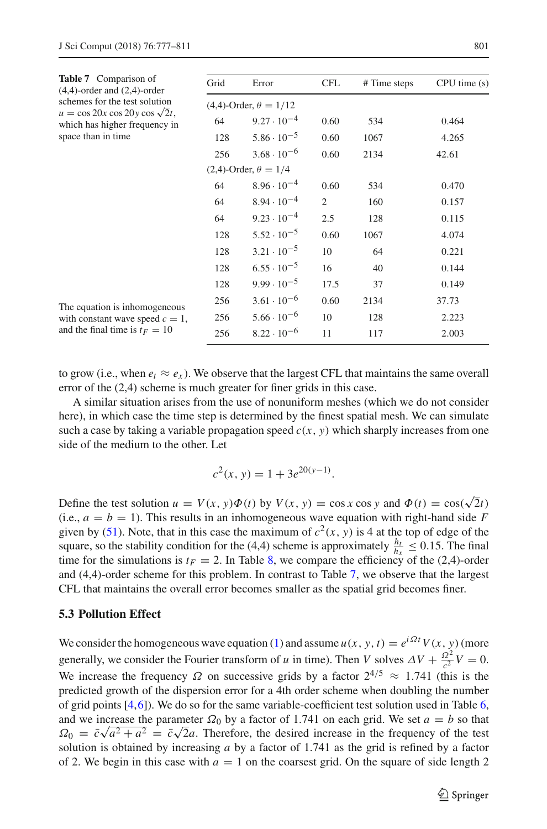<span id="page-24-1"></span>

| <b>Table 7</b> Comparison of<br>$(4,4)$ -order and $(2,4)$ -order         | Grid                            | Error                          | CFL  | # Time steps | CPU time(s) |  |
|---------------------------------------------------------------------------|---------------------------------|--------------------------------|------|--------------|-------------|--|
| schemes for the test solution                                             | $(4,4)$ -Order, $\theta = 1/12$ |                                |      |              |             |  |
| $u = \cos 20x \cos 20y \cos \sqrt{2t}$ ,<br>which has higher frequency in | 64                              | $9.27 \cdot 10^{-4}$           | 0.60 | 534          | 0.464       |  |
| space than in time                                                        | 128                             | $5.86 \cdot 10^{-5}$           | 0.60 | 1067         | 4.265       |  |
|                                                                           | 256                             | $3.68 \cdot 10^{-6}$           | 0.60 | 2134         | 42.61       |  |
|                                                                           |                                 | $(2,4)$ -Order, $\theta = 1/4$ |      |              |             |  |
|                                                                           | 64                              | $8.96 \cdot 10^{-4}$           | 0.60 | 534          | 0.470       |  |
|                                                                           | 64                              | $8.94 \cdot 10^{-4}$           | 2    | 160          | 0.157       |  |
|                                                                           | 64                              | $9.23 \cdot 10^{-4}$           | 2.5  | 128          | 0.115       |  |
|                                                                           | 128                             | $5.52 \cdot 10^{-5}$           | 0.60 | 1067         | 4.074       |  |
|                                                                           | 128                             | $3.21 \cdot 10^{-5}$           | 10   | 64           | 0.221       |  |
|                                                                           | 128                             | $6.55 \cdot 10^{-5}$           | 16   | 40           | 0.144       |  |
|                                                                           | 128                             | $9.99 \cdot 10^{-5}$           | 17.5 | 37           | 0.149       |  |
| The equation is inhomogeneous                                             | 256                             | $3.61 \cdot 10^{-6}$           | 0.60 | 2134         | 37.73       |  |
| with constant wave speed $c = 1$ ,                                        | 256                             | $5.66 \cdot 10^{-6}$           | 10   | 128          | 2.223       |  |
| and the final time is $t_F = 10$                                          | 256                             | $8.22 \cdot 10^{-6}$           | 11   | 117          | 2.003       |  |

to grow (i.e., when  $e_t \approx e_x$ ). We observe that the largest CFL that maintains the same overall error of the (2,4) scheme is much greater for finer grids in this case.

A similar situation arises from the use of nonuniform meshes (which we do not consider here), in which case the time step is determined by the finest spatial mesh. We can simulate such a case by taking a variable propagation speed  $c(x, y)$  which sharply increases from one side of the medium to the other. Let

$$
c^2(x, y) = 1 + 3e^{20(y-1)}.
$$

Define the test solution  $u = V(x, y)\Phi(t)$  by  $V(x, y) = \cos x \cos y$  and  $\Phi(t) = \cos(\sqrt{2}t)$ (i.e.,  $a = b = 1$ ). This results in an inhomogeneous wave equation with right-hand side *F* given by [\(51\)](#page-18-1). Note, that in this case the maximum of  $c^2(x, y)$  is 4 at the top of edge of the square, so the stability condition for the (4,4) scheme is approximately  $\frac{h_t}{h_x} \le 0.15$ . The final time for the simulations is  $t_F = 2$ . In Table [8,](#page-25-0) we compare the efficiency of the (2,4)-order and (4,4)-order scheme for this problem. In contrast to Table [7,](#page-24-1) we observe that the largest CFL that maintains the overall error becomes smaller as the spatial grid becomes finer.

# <span id="page-24-0"></span>**5.3 Pollution Effect**

We consider the homogeneous wave equation [\(1\)](#page-3-1) and assume  $u(x, y, t) = e^{i\Omega t} V(x, y)$  (more generally, we consider the Fourier transform of *u* in time). Then *V* solves  $\Delta V + \frac{Q^2}{c^2}V = 0$ . We increase the frequency  $\Omega$  on successive grids by a factor  $2^{4/5} \approx 1.741$  (this is the predicted growth of the dispersion error for a 4th order scheme when doubling the number of grid points [\[4,](#page-33-1)[6](#page-33-0)]). We do so for the same variable-coefficient test solution used in Table [6,](#page-23-1) and we increase the parameter  $\Omega_0$  by a factor of 1.741 on each grid. We set  $a = b$  so that  $\Omega_0 = \bar{c}\sqrt{a^2 + a^2} = \bar{c}\sqrt{2}a$ . Therefore, the desired increase in the frequency of the test solution is obtained by increasing *a* by a factor of 1.741 as the grid is refined by a factor of 2. We begin in this case with  $a = 1$  on the coarsest grid. On the square of side length 2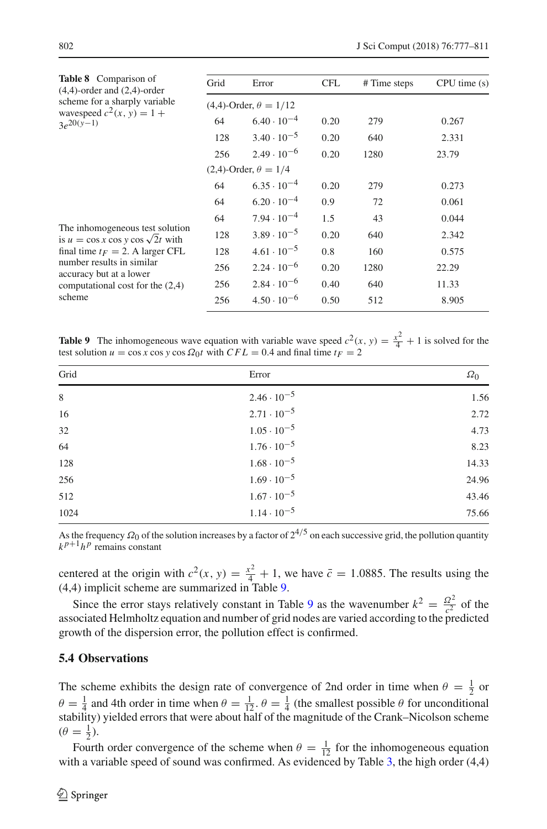<span id="page-25-0"></span>

| <b>Table 8</b> Comparison of<br>$(4,4)$ -order and $(2,4)$ -order             | Grid | Error                           | <b>CFL</b> | # Time steps | CPU time(s) |
|-------------------------------------------------------------------------------|------|---------------------------------|------------|--------------|-------------|
| scheme for a sharply variable                                                 |      | $(4,4)$ -Order, $\theta = 1/12$ |            |              |             |
| wavespeed $c^2(x, y) = 1 +$<br>$3e^{20(y-1)}$                                 | 64   | $6.40 \cdot 10^{-4}$            | 0.20       | 279          | 0.267       |
|                                                                               | 128  | $3.40 \cdot 10^{-5}$            | 0.20       | 640          | 2.331       |
|                                                                               | 256  | $2.49 \cdot 10^{-6}$            | 0.20       | 1280         | 23.79       |
|                                                                               |      | $(2,4)$ -Order, $\theta = 1/4$  |            |              |             |
|                                                                               | 64   | $6.35 \cdot 10^{-4}$            | 0.20       | 279          | 0.273       |
|                                                                               | 64   | $6.20 \cdot 10^{-4}$            | 0.9        | 72           | 0.061       |
|                                                                               | 64   | $7.94 \cdot 10^{-4}$            | 1.5        | 43           | 0.044       |
| The inhomogeneous test solution<br>is $u = \cos x \cos y \cos \sqrt{2}t$ with | 128  | $3.89 \cdot 10^{-5}$            | 0.20       | 640          | 2.342       |
| final time $t_F = 2$ . A larger CFL                                           | 128  | $4.61 \cdot 10^{-5}$            | 0.8        | 160          | 0.575       |
| number results in similar<br>accuracy but at a lower                          | 256  | $2.24 \cdot 10^{-6}$            | 0.20       | 1280         | 22.29       |
| computational cost for the $(2,4)$                                            | 256  | $2.84 \cdot 10^{-6}$            | 0.40       | 640          | 11.33       |
| scheme                                                                        | 256  | $4.50 \cdot 10^{-6}$            | 0.50       | 512          | 8.905       |

<span id="page-25-1"></span>**Table 9** The inhomogeneous wave equation with variable wave speed  $c^2(x, y) = \frac{x^2}{4} + 1$  is solved for the test solution  $u = \cos x \cos y \cos \Omega_0 t$  with  $CFL = 0.4$  and final time  $t_F = 2$ 

| Grid        | Error                | $\Omega_0$ |
|-------------|----------------------|------------|
| $\,$ 8 $\,$ | $2.46 \cdot 10^{-5}$ | 1.56       |
| 16          | $2.71 \cdot 10^{-5}$ | 2.72       |
| 32          | $1.05 \cdot 10^{-5}$ | 4.73       |
| 64          | $1.76 \cdot 10^{-5}$ | 8.23       |
| 128         | $1.68 \cdot 10^{-5}$ | 14.33      |
| 256         | $1.69 \cdot 10^{-5}$ | 24.96      |
| 512         | $1.67 \cdot 10^{-5}$ | 43.46      |
| 1024        | $1.14 \cdot 10^{-5}$ | 75.66      |
|             |                      |            |

As the frequency  $\Omega_0$  of the solution increases by a factor of  $2^{4/5}$  on each successive grid, the pollution quantity  $k^{p+1}h^p$  remains constant

centered at the origin with  $c^2(x, y) = \frac{x^2}{4} + 1$ , we have  $\bar{c} = 1.0885$ . The results using the (4,4) implicit scheme are summarized in Table [9.](#page-25-1)

Since the error stays relatively constant in Table [9](#page-25-1) as the wavenumber  $k^2 = \frac{Q^2}{c^2}$  of the associated Helmholtz equation and number of grid nodes are varied according to the predicted growth of the dispersion error, the pollution effect is confirmed.

# **5.4 Observations**

The scheme exhibits the design rate of convergence of 2nd order in time when  $\theta = \frac{1}{2}$  or  $\theta = \frac{1}{4}$  and 4th order in time when  $\theta = \frac{1}{12}$ .  $\theta = \frac{1}{4}$  (the smallest possible  $\theta$  for unconditional stability) yielded errors that were about half of the magnitude of the Crank–Nicolson scheme  $(\theta = \frac{1}{2}).$ 

Fourth order convergence of the scheme when  $\theta = \frac{1}{12}$  for the inhomogeneous equation with a variable speed of sound was confirmed. As evidenced by Table [3,](#page-21-2) the high order (4,4)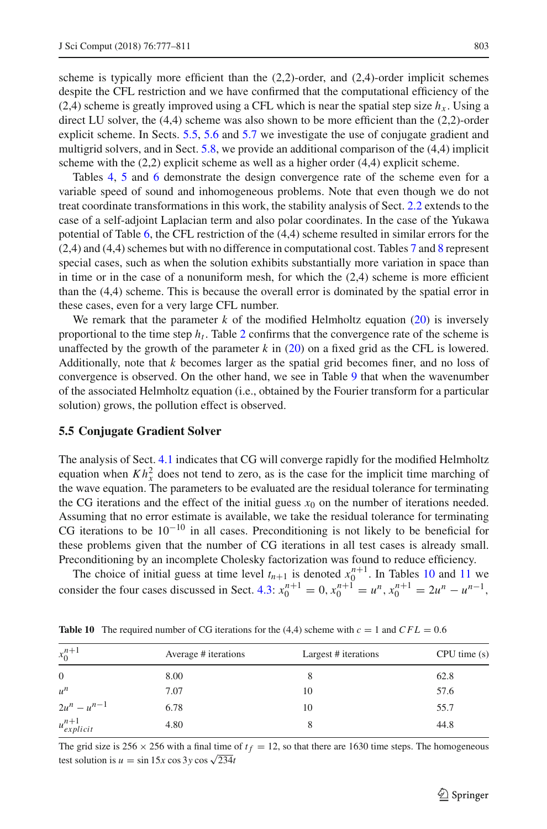scheme is typically more efficient than the  $(2,2)$ -order, and  $(2,4)$ -order implicit schemes despite the CFL restriction and we have confirmed that the computational efficiency of the (2,4) scheme is greatly improved using a CFL which is near the spatial step size  $h<sub>x</sub>$ . Using a direct LU solver, the (4,4) scheme was also shown to be more efficient than the (2,2)-order explicit scheme. In Sects. [5.5,](#page-26-0) [5.6](#page-27-0) and [5.7](#page-27-1) we investigate the use of conjugate gradient and multigrid solvers, and in Sect. [5.8,](#page-29-1) we provide an additional comparison of the (4,4) implicit scheme with the (2,2) explicit scheme as well as a higher order (4,4) explicit scheme.

Tables [4,](#page-22-0) [5](#page-22-1) and [6](#page-23-1) demonstrate the design convergence rate of the scheme even for a variable speed of sound and inhomogeneous problems. Note that even though we do not treat coordinate transformations in this work, the stability analysis of Sect. [2.2](#page-5-2) extends to the case of a self-adjoint Laplacian term and also polar coordinates. In the case of the Yukawa potential of Table [6,](#page-23-1) the CFL restriction of the (4,4) scheme resulted in similar errors for the (2,4) and (4,4) schemes but with no difference in computational cost. Tables [7](#page-24-1) and [8](#page-25-0) represent special cases, such as when the solution exhibits substantially more variation in space than in time or in the case of a nonuniform mesh, for which the  $(2,4)$  scheme is more efficient than the (4,4) scheme. This is because the overall error is dominated by the spatial error in these cases, even for a very large CFL number.

We remark that the parameter  $k$  of the modified Helmholtz equation  $(20)$  is inversely proportional to the time step  $h_t$ . Table [2](#page-21-1) confirms that the convergence rate of the scheme is unaffected by the growth of the parameter  $k$  in  $(20)$  on a fixed grid as the CFL is lowered. Additionally, note that *k* becomes larger as the spatial grid becomes finer, and no loss of convergence is observed. On the other hand, we see in Table [9](#page-25-1) that when the wavenumber of the associated Helmholtz equation (i.e., obtained by the Fourier transform for a particular solution) grows, the pollution effect is observed.

### <span id="page-26-0"></span>**5.5 Conjugate Gradient Solver**

The analysis of Sect. [4.1](#page-12-0) indicates that CG will converge rapidly for the modified Helmholtz equation when  $Kh_x^2$  does not tend to zero, as is the case for the implicit time marching of the wave equation. The parameters to be evaluated are the residual tolerance for terminating the CG iterations and the effect of the initial guess  $x<sub>0</sub>$  on the number of iterations needed. Assuming that no error estimate is available, we take the residual tolerance for terminating CG iterations to be  $10^{-10}$  in all cases. Preconditioning is not likely to be beneficial for these problems given that the number of CG iterations in all test cases is already small. Preconditioning by an incomplete Cholesky factorization was found to reduce efficiency.

The choice of initial guess at time level  $t_{n+1}$  is denoted  $x_0^{n+1}$ . In Tables [10](#page-26-1) and [11](#page-27-2) we consider the four cases discussed in Sect. [4.3:](#page-17-1)  $x_0^{n+1} = 0$ ,  $x_0^{n+1} = u^n$ ,  $x_0^{n+1} = 2u^n - u^{n-1}$ ,

| $x_0^{n+1}$          | Average # iterations | Largest # iterations | CPU time(s) |
|----------------------|----------------------|----------------------|-------------|
| $\overline{0}$       | 8.00                 | 8                    | 62.8        |
| $u^n$                | 7.07                 | 10                   | 57.6        |
| $2u^n - u^{n-1}$     | 6.78                 | 10                   | 55.7        |
| $u_{explicit}^{n+1}$ | 4.80                 | 8                    | 44.8        |

<span id="page-26-1"></span>**Table 10** The required number of CG iterations for the (4,4) scheme with  $c = 1$  and  $CFL = 0.6$ 

The grid size is  $256 \times 256$  with a final time of  $t_f = 12$ , so that there are 1630 time steps. The homogeneous test solution is  $u = \sin 15x \cos 3y \cos \sqrt{234}t$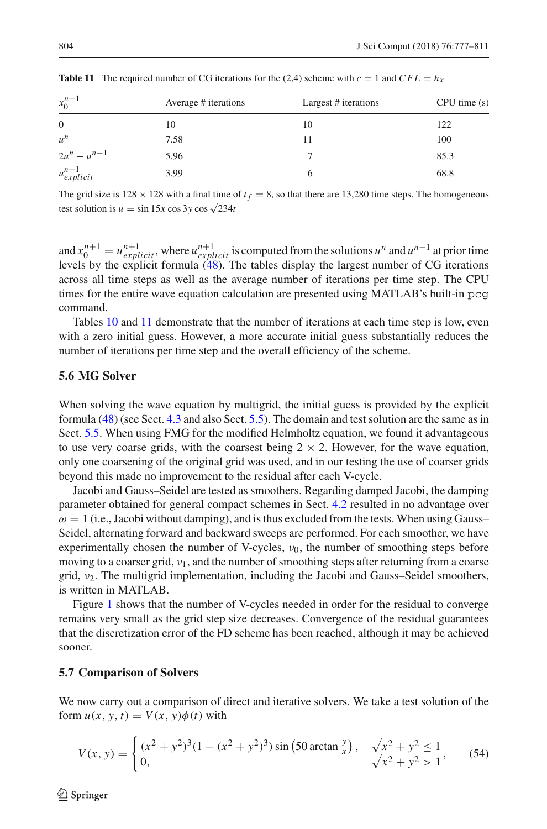| $x_0^{n+1}$          | Average # iterations | Largest # iterations | CPU time(s) |
|----------------------|----------------------|----------------------|-------------|
| $\overline{0}$       | 10                   | 10                   | 122         |
| $u^n$                | 7.58                 | 11                   | 100         |
| $2u^n - u^{n-1}$     | 5.96                 |                      | 85.3        |
| $u_{explicit}^{n+1}$ | 3.99                 | 6                    | 68.8        |

<span id="page-27-2"></span>**Table 11** The required number of CG iterations for the (2,4) scheme with  $c = 1$  and  $CFL = h_x$ 

The grid size is  $128 \times 128$  with a final time of  $t_f = 8$ , so that there are 13,280 time steps. The homogeneous test solution is  $u = \sin 15x \cos 3y \cos \sqrt{234}t$ 

and  $x_0^{n+1} = u_{explicit}^{n+1}$ , where  $u_{explicit}^{n+1}$  is computed from the solutions  $u^n$  and  $u^{n-1}$  at prior time levels by the explicit formula [\(48\)](#page-17-2). The tables display the largest number of CG iterations across all time steps as well as the average number of iterations per time step. The CPU times for the entire wave equation calculation are presented using MATLAB's built-in pcg command.

Tables [10](#page-26-1) and [11](#page-27-2) demonstrate that the number of iterations at each time step is low, even with a zero initial guess. However, a more accurate initial guess substantially reduces the number of iterations per time step and the overall efficiency of the scheme.

## <span id="page-27-0"></span>**5.6 MG Solver**

When solving the wave equation by multigrid, the initial guess is provided by the explicit formula [\(48\)](#page-17-2) (see Sect. [4.3](#page-17-1) and also Sect. [5.5\)](#page-26-0). The domain and test solution are the same as in Sect. [5.5.](#page-26-0) When using FMG for the modified Helmholtz equation, we found it advantageous to use very coarse grids, with the coarsest being  $2 \times 2$ . However, for the wave equation, only one coarsening of the original grid was used, and in our testing the use of coarser grids beyond this made no improvement to the residual after each V-cycle.

Jacobi and Gauss–Seidel are tested as smoothers. Regarding damped Jacobi, the damping parameter obtained for general compact schemes in Sect. [4.2](#page-13-0) resulted in no advantage over  $\omega = 1$  (i.e., Jacobi without damping), and is thus excluded from the tests. When using Gauss– Seidel, alternating forward and backward sweeps are performed. For each smoother, we have experimentally chosen the number of V-cycles,  $v_0$ , the number of smoothing steps before moving to a coarser grid,  $v_1$ , and the number of smoothing steps after returning from a coarse grid,  $v_2$ . The multigrid implementation, including the Jacobi and Gauss–Seidel smoothers, is written in MATLAB.

Figure [1](#page-28-0) shows that the number of V-cycles needed in order for the residual to converge remains very small as the grid step size decreases. Convergence of the residual guarantees that the discretization error of the FD scheme has been reached, although it may be achieved sooner.

#### <span id="page-27-1"></span>**5.7 Comparison of Solvers**

We now carry out a comparison of direct and iterative solvers. We take a test solution of the form  $u(x, y, t) = V(x, y)\phi(t)$  with

<span id="page-27-3"></span>
$$
V(x, y) = \begin{cases} (x^2 + y^2)^3 (1 - (x^2 + y^2)^3) \sin(50 \arctan \frac{y}{x}), & \sqrt{x^2 + y^2} \le 1\\ 0, & \sqrt{x^2 + y^2} > 1 \end{cases}
$$
 (54)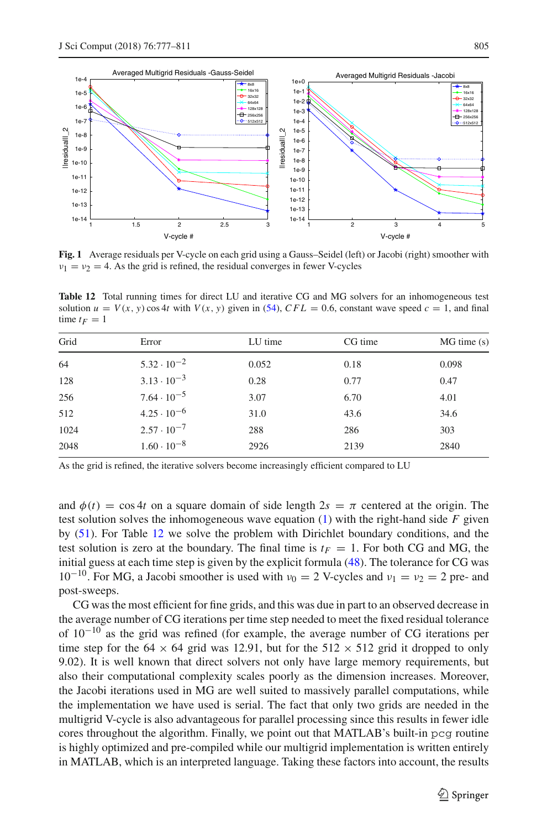

<span id="page-28-0"></span>**Fig. 1** Average residuals per V-cycle on each grid using a Gauss–Seidel (left) or Jacobi (right) smoother with  $v_1 = v_2 = 4$ . As the grid is refined, the residual converges in fewer V-cycles

<span id="page-28-1"></span>**Table 12** Total running times for direct LU and iterative CG and MG solvers for an inhomogeneous test solution  $u = V(x, y) \cos 4t$  with  $V(x, y)$  given in [\(54\)](#page-27-3),  $CFL = 0.6$ , constant wave speed  $c = 1$ , and final time  $t_F = 1$ 

| Grid | Error                | LU time | CG time | $MG$ time $(s)$ |
|------|----------------------|---------|---------|-----------------|
| 64   | $5.32 \cdot 10^{-2}$ | 0.052   | 0.18    | 0.098           |
| 128  | $3.13 \cdot 10^{-3}$ | 0.28    | 0.77    | 0.47            |
| 256  | $7.64 \cdot 10^{-5}$ | 3.07    | 6.70    | 4.01            |
| 512  | $4.25 \cdot 10^{-6}$ | 31.0    | 43.6    | 34.6            |
| 1024 | $2.57 \cdot 10^{-7}$ | 288     | 286     | 303             |
| 2048 | $1.60 \cdot 10^{-8}$ | 2926    | 2139    | 2840            |

As the grid is refined, the iterative solvers become increasingly efficient compared to LU

and  $\phi(t) = \cos 4t$  on a square domain of side length  $2s = \pi$  centered at the origin. The test solution solves the inhomogeneous wave equation  $(1)$  with the right-hand side  $F$  given by [\(51\)](#page-18-1). For Table [12](#page-28-1) we solve the problem with Dirichlet boundary conditions, and the test solution is zero at the boundary. The final time is  $t_F = 1$ . For both CG and MG, the initial guess at each time step is given by the explicit formula [\(48\)](#page-17-2). The tolerance for CG was  $10^{-10}$ . For MG, a Jacobi smoother is used with  $v_0 = 2$  V-cycles and  $v_1 = v_2 = 2$  pre- and post-sweeps.

CG was the most efficient for fine grids, and this was due in part to an observed decrease in the average number of CG iterations per time step needed to meet the fixed residual tolerance of 10−<sup>10</sup> as the grid was refined (for example, the average number of CG iterations per time step for the 64  $\times$  64 grid was 12.91, but for the 512  $\times$  512 grid it dropped to only 9.02). It is well known that direct solvers not only have large memory requirements, but also their computational complexity scales poorly as the dimension increases. Moreover, the Jacobi iterations used in MG are well suited to massively parallel computations, while the implementation we have used is serial. The fact that only two grids are needed in the multigrid V-cycle is also advantageous for parallel processing since this results in fewer idle cores throughout the algorithm. Finally, we point out that MATLAB's built-in pcg routine is highly optimized and pre-compiled while our multigrid implementation is written entirely in MATLAB, which is an interpreted language. Taking these factors into account, the results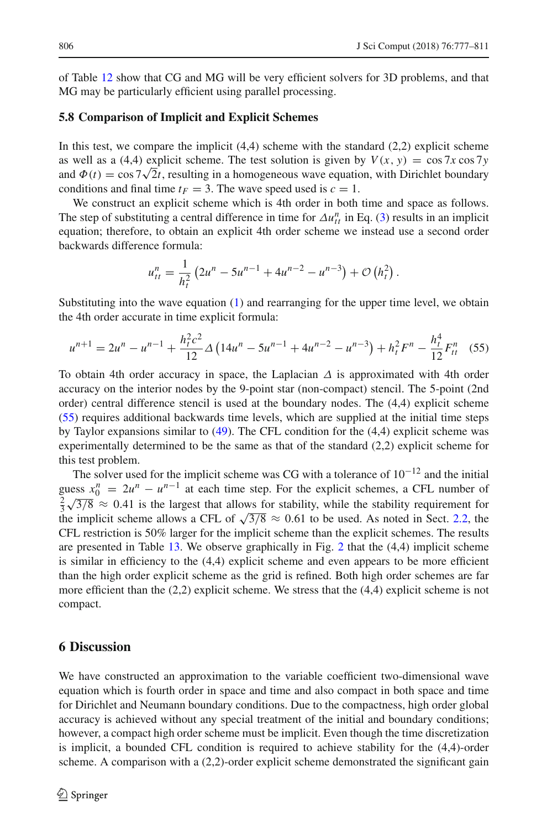of Table [12](#page-28-1) show that CG and MG will be very efficient solvers for 3D problems, and that MG may be particularly efficient using parallel processing.

### <span id="page-29-1"></span>**5.8 Comparison of Implicit and Explicit Schemes**

In this test, we compare the implicit  $(4,4)$  scheme with the standard  $(2,2)$  explicit scheme as well as a (4,4) explicit scheme. The test solution is given by  $V(x, y) = \cos 7x \cos 7y$ and  $\Phi(t) = \cos 7\sqrt{2t}$ , resulting in a homogeneous wave equation, with Dirichlet boundary conditions and final time  $t_F = 3$ . The wave speed used is  $c = 1$ .

We construct an explicit scheme which is 4th order in both time and space as follows. The step of substituting a central difference in time for  $\Delta u_{tt}^n$  in Eq. [\(3\)](#page-3-7) results in an implicit equation; therefore, to obtain an explicit 4th order scheme we instead use a second order backwards difference formula:

$$
u_{tt}^{n} = \frac{1}{h_t^2} \left( 2u^n - 5u^{n-1} + 4u^{n-2} - u^{n-3} \right) + \mathcal{O}\left(h_t^2\right).
$$

Substituting into the wave equation  $(1)$  and rearranging for the upper time level, we obtain the 4th order accurate in time explicit formula:

<span id="page-29-2"></span>
$$
u^{n+1} = 2u^n - u^{n-1} + \frac{h_t^2 c^2}{12} \Delta \left( 14u^n - 5u^{n-1} + 4u^{n-2} - u^{n-3} \right) + h_t^2 F^n - \frac{h_t^4}{12} F_t^n \tag{55}
$$

To obtain 4th order accuracy in space, the Laplacian  $\Delta$  is approximated with 4th order accuracy on the interior nodes by the 9-point star (non-compact) stencil. The 5-point (2nd order) central difference stencil is used at the boundary nodes. The (4,4) explicit scheme [\(55\)](#page-29-2) requires additional backwards time levels, which are supplied at the initial time steps by Taylor expansions similar to [\(49\)](#page-17-3). The CFL condition for the (4,4) explicit scheme was experimentally determined to be the same as that of the standard (2,2) explicit scheme for this test problem.

The solver used for the implicit scheme was CG with a tolerance of  $10^{-12}$  and the initial guess  $x_0^n = 2u^n - u^{n-1}$  at each time step. For the explicit schemes, a CFL number of  $\frac{2}{3}\sqrt{3/8}$   $\approx$  0.41 is the largest that allows for stability, while the stability requirement for the implicit scheme allows a CFL of  $\sqrt{3/8} \approx 0.61$  to be used. As noted in Sect. [2.2,](#page-5-2) the CFL restriction is 50% larger for the implicit scheme than the explicit schemes. The results are presented in Table [13.](#page-30-0) We observe graphically in Fig. [2](#page-30-1) that the (4,4) implicit scheme is similar in efficiency to the (4,4) explicit scheme and even appears to be more efficient than the high order explicit scheme as the grid is refined. Both high order schemes are far more efficient than the  $(2,2)$  explicit scheme. We stress that the  $(4,4)$  explicit scheme is not compact.

# <span id="page-29-0"></span>**6 Discussion**

We have constructed an approximation to the variable coefficient two-dimensional wave equation which is fourth order in space and time and also compact in both space and time for Dirichlet and Neumann boundary conditions. Due to the compactness, high order global accuracy is achieved without any special treatment of the initial and boundary conditions; however, a compact high order scheme must be implicit. Even though the time discretization is implicit, a bounded CFL condition is required to achieve stability for the (4,4)-order scheme. A comparison with a  $(2,2)$ -order explicit scheme demonstrated the significant gain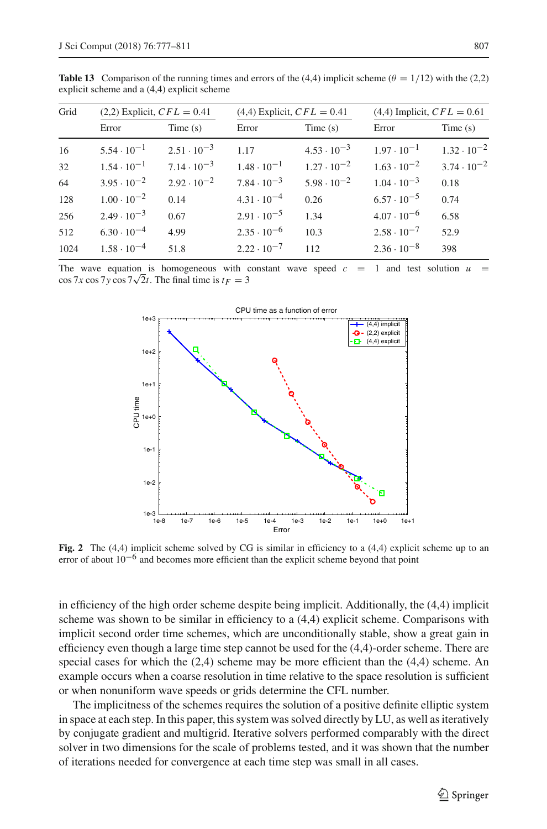| Grid |                      | $(2,2)$ Explicit, $CFL = 0.41$ |                      | $(4,4)$ Explicit, $CFL = 0.41$ | $(4,4)$ Implicit, $CFL = 0.61$ |                      |
|------|----------------------|--------------------------------|----------------------|--------------------------------|--------------------------------|----------------------|
|      | Error                | Time(s)                        | Error                | Time(s)                        | Error                          | Time(s)              |
| 16   | $5.54 \cdot 10^{-1}$ | $2.51 \cdot 10^{-3}$           | 1.17                 | $4.53 \cdot 10^{-3}$           | $1.97 \cdot 10^{-1}$           | $1.32 \cdot 10^{-2}$ |
| 32   | $1.54 \cdot 10^{-1}$ | $7.14 \cdot 10^{-3}$           | $1.48 \cdot 10^{-1}$ | $1.27 \cdot 10^{-2}$           | $1.63 \cdot 10^{-2}$           | $3.74 \cdot 10^{-2}$ |
| 64   | $3.95 \cdot 10^{-2}$ | $2.92 \cdot 10^{-2}$           | $7.84 \cdot 10^{-3}$ | $5.98 \cdot 10^{-2}$           | $1.04 \cdot 10^{-3}$           | 0.18                 |
| 128  | $1.00 \cdot 10^{-2}$ | 0.14                           | $4.31 \cdot 10^{-4}$ | 0.26                           | $6.57 \cdot 10^{-5}$           | 0.74                 |
| 256  | $2.49 \cdot 10^{-3}$ | 0.67                           | $2.91 \cdot 10^{-5}$ | 1.34                           | $4.07 \cdot 10^{-6}$           | 6.58                 |
| 512  | $6.30 \cdot 10^{-4}$ | 4.99                           | $2.35 \cdot 10^{-6}$ | 10.3                           | $2.58 \cdot 10^{-7}$           | 52.9                 |
| 1024 | $1.58 \cdot 10^{-4}$ | 51.8                           | $2.22 \cdot 10^{-7}$ | 112                            | $2.36 \cdot 10^{-8}$           | 398                  |
|      |                      |                                |                      |                                |                                |                      |

<span id="page-30-0"></span>**Table 13** Comparison of the running times and errors of the (4,4) implicit scheme ( $\theta = 1/12$ ) with the (2,2) explicit scheme and a (4,4) explicit scheme

The wave equation is homogeneous with constant wave speed  $c = 1$  and test solution  $u =$  $\cos 7x \cos 7y \cos 7\sqrt{2}t$ . The final time is  $t_F = 3$ 



<span id="page-30-1"></span>**Fig. 2** The (4,4) implicit scheme solved by CG is similar in efficiency to a (4,4) explicit scheme up to an error of about 10−<sup>6</sup> and becomes more efficient than the explicit scheme beyond that point

in efficiency of the high order scheme despite being implicit. Additionally, the (4,4) implicit scheme was shown to be similar in efficiency to a (4,4) explicit scheme. Comparisons with implicit second order time schemes, which are unconditionally stable, show a great gain in efficiency even though a large time step cannot be used for the (4,4)-order scheme. There are special cases for which the  $(2,4)$  scheme may be more efficient than the  $(4,4)$  scheme. An example occurs when a coarse resolution in time relative to the space resolution is sufficient or when nonuniform wave speeds or grids determine the CFL number.

The implicitness of the schemes requires the solution of a positive definite elliptic system in space at each step. In this paper, this system was solved directly by LU, as well as iteratively by conjugate gradient and multigrid. Iterative solvers performed comparably with the direct solver in two dimensions for the scale of problems tested, and it was shown that the number of iterations needed for convergence at each time step was small in all cases.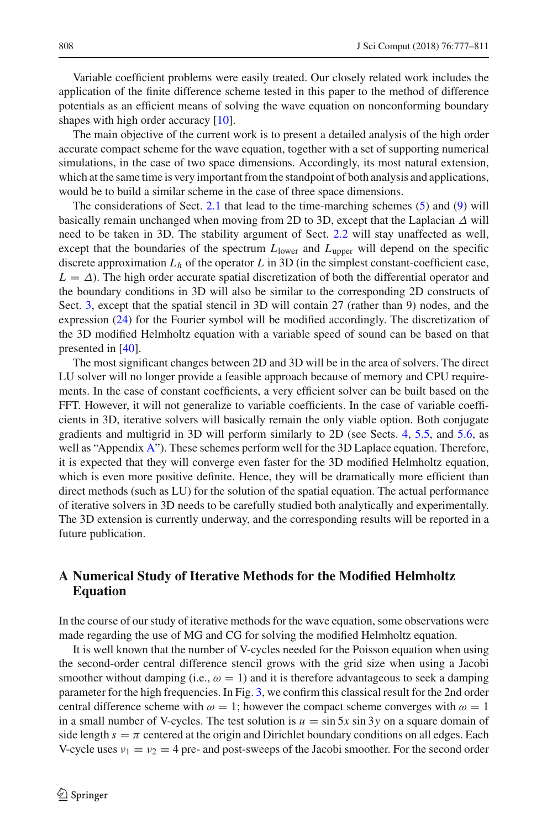Variable coefficient problems were easily treated. Our closely related work includes the application of the finite difference scheme tested in this paper to the method of difference potentials as an efficient means of solving the wave equation on nonconforming boundary shapes with high order accuracy [\[10\]](#page-33-25).

The main objective of the current work is to present a detailed analysis of the high order accurate compact scheme for the wave equation, together with a set of supporting numerical simulations, in the case of two space dimensions. Accordingly, its most natural extension, which at the same time is very important from the standpoint of both analysis and applications, would be to build a similar scheme in the case of three space dimensions.

The considerations of Sect. [2.1](#page-3-5) that lead to the time-marching schemes [\(5\)](#page-3-3) and [\(9\)](#page-4-1) will basically remain unchanged when moving from 2D to 3D, except that the Laplacian  $\Delta$  will need to be taken in 3D. The stability argument of Sect. [2.2](#page-5-2) will stay unaffected as well, except that the boundaries of the spectrum  $L_{\text{lower}}$  and  $L_{\text{upper}}$  will depend on the specific discrete approximation  $L_h$  of the operator  $L$  in 3D (in the simplest constant-coefficient case,  $L \equiv \Delta$ ). The high order accurate spatial discretization of both the differential operator and the boundary conditions in 3D will also be similar to the corresponding 2D constructs of Sect. [3,](#page-7-0) except that the spatial stencil in 3D will contain 27 (rather than 9) nodes, and the expression [\(24\)](#page-8-1) for the Fourier symbol will be modified accordingly. The discretization of the 3D modified Helmholtz equation with a variable speed of sound can be based on that presented in [\[40](#page-34-13)].

The most significant changes between 2D and 3D will be in the area of solvers. The direct LU solver will no longer provide a feasible approach because of memory and CPU requirements. In the case of constant coefficients, a very efficient solver can be built based on the FFT. However, it will not generalize to variable coefficients. In the case of variable coefficients in 3D, iterative solvers will basically remain the only viable option. Both conjugate gradients and multigrid in 3D will perform similarly to 2D (see Sects. [4,](#page-10-0) [5.5,](#page-26-0) and [5.6,](#page-27-0) as well as "Appendix [A"](#page-1-0)). These schemes perform well for the 3D Laplace equation. Therefore, it is expected that they will converge even faster for the 3D modified Helmholtz equation, which is even more positive definite. Hence, they will be dramatically more efficient than direct methods (such as LU) for the solution of the spatial equation. The actual performance of iterative solvers in 3D needs to be carefully studied both analytically and experimentally. The 3D extension is currently underway, and the corresponding results will be reported in a future publication.

# **A Numerical Study of Iterative Methods for the Modified Helmholtz Equation**

In the course of our study of iterative methods for the wave equation, some observations were made regarding the use of MG and CG for solving the modified Helmholtz equation.

It is well known that the number of V-cycles needed for the Poisson equation when using the second-order central difference stencil grows with the grid size when using a Jacobi smoother without damping (i.e.,  $\omega = 1$ ) and it is therefore advantageous to seek a damping parameter for the high frequencies. In Fig. [3,](#page-32-0) we confirm this classical result for the 2nd order central difference scheme with  $\omega = 1$ ; however the compact scheme converges with  $\omega = 1$ in a small number of V-cycles. The test solution is  $u = \sin 5x \sin 3y$  on a square domain of side length  $s = \pi$  centered at the origin and Dirichlet boundary conditions on all edges. Each V-cycle uses  $v_1 = v_2 = 4$  pre- and post-sweeps of the Jacobi smoother. For the second order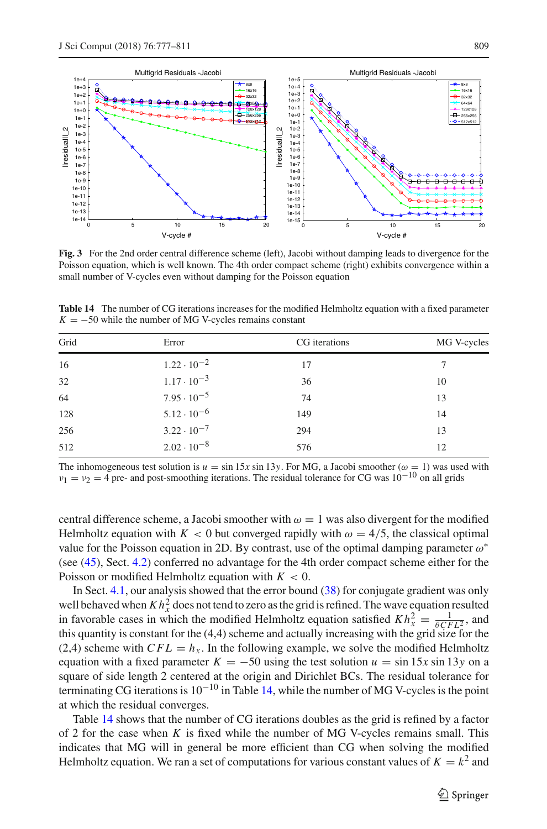

<span id="page-32-0"></span>**Fig. 3** For the 2nd order central difference scheme (left), Jacobi without damping leads to divergence for the Poisson equation, which is well known. The 4th order compact scheme (right) exhibits convergence within a small number of V-cycles even without damping for the Poisson equation

| Grid | Error                | CG iterations | MG V-cycles |
|------|----------------------|---------------|-------------|
| 16   | $1.22 \cdot 10^{-2}$ | 17            |             |
| 32   | $1.17 \cdot 10^{-3}$ | 36            | 10          |
| 64   | $7.95 \cdot 10^{-5}$ | 74            | 13          |
| 128  | $5.12 \cdot 10^{-6}$ | 149           | 14          |
| 256  | $3.22 \cdot 10^{-7}$ | 294           | 13          |
| 512  | $2.02 \cdot 10^{-8}$ | 576           | 12          |

<span id="page-32-1"></span>**Table 14** The number of CG iterations increases for the modified Helmholtz equation with a fixed parameter  $K = -50$  while the number of MG V-cycles remains constant

The inhomogeneous test solution is  $u = \sin 15x \sin 13y$ . For MG, a Jacobi smoother ( $\omega = 1$ ) was used with  $v_1 = v_2 = 4$  pre- and post-smoothing iterations. The residual tolerance for CG was  $10^{-10}$  on all grids

central difference scheme, a Jacobi smoother with  $\omega = 1$  was also divergent for the modified Helmholtz equation with  $K < 0$  but converged rapidly with  $\omega = 4/5$ , the classical optimal value for the Poisson equation in 2D. By contrast, use of the optimal damping parameter  $\omega^*$ (see [\(45\)](#page-16-2), Sect. [4.2\)](#page-13-0) conferred no advantage for the 4th order compact scheme either for the Poisson or modified Helmholtz equation with  $K < 0$ .

In Sect. [4.1,](#page-12-0) our analysis showed that the error bound [\(38\)](#page-12-1) for conjugate gradient was only well behaved when  $Kh_x^2$  does not tend to zero as the grid is refined. The wave equation resulted in favorable cases in which the modified Helmholtz equation satisfied  $Kh_x^2 = \frac{1}{\theta CFL_x^2}$ , and this quantity is constant for the (4,4) scheme and actually increasing with the grid size for the (2,4) scheme with  $CFL = h<sub>x</sub>$ . In the following example, we solve the modified Helmholtz equation with a fixed parameter  $K = -50$  using the test solution  $u = \sin 15x \sin 13y$  on a square of side length 2 centered at the origin and Dirichlet BCs. The residual tolerance for terminating CG iterations is  $10^{-10}$  in Table [14,](#page-32-1) while the number of MG V-cycles is the point at which the residual converges.

Table [14](#page-32-1) shows that the number of CG iterations doubles as the grid is refined by a factor of 2 for the case when  $K$  is fixed while the number of MG V-cycles remains small. This indicates that MG will in general be more efficient than CG when solving the modified Helmholtz equation. We ran a set of computations for various constant values of  $K = k^2$  and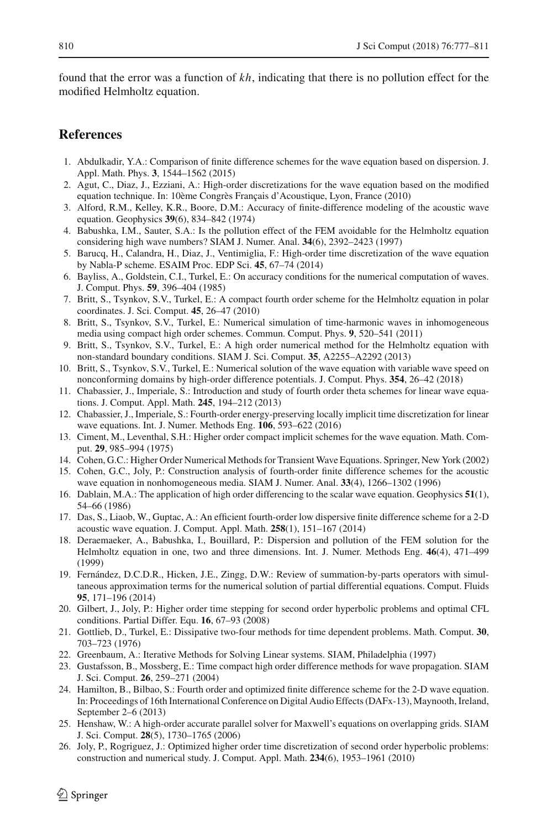found that the error was a function of *kh*, indicating that there is no pollution effect for the modified Helmholtz equation.

# **References**

- <span id="page-33-19"></span>1. Abdulkadir, Y.A.: Comparison of finite difference schemes for the wave equation based on dispersion. J. Appl. Math. Phys. **3**, 1544–1562 (2015)
- <span id="page-33-13"></span>2. Agut, C., Diaz, J., Ezziani, A.: High-order discretizations for the wave equation based on the modified equation technique. In: 10ème Congrès Français d'Acoustique, Lyon, France (2010)
- <span id="page-33-10"></span>3. Alford, R.M., Kelley, K.R., Boore, D.M.: Accuracy of finite-difference modeling of the acoustic wave equation. Geophysics **39**(6), 834–842 (1974)
- <span id="page-33-1"></span>4. Babushka, I.M., Sauter, S.A.: Is the pollution effect of the FEM avoidable for the Helmholtz equation considering high wave numbers? SIAM J. Numer. Anal. **34**(6), 2392–2423 (1997)
- <span id="page-33-3"></span>5. Barucq, H., Calandra, H., Diaz, J., Ventimiglia, F.: High-order time discretization of the wave equation by Nabla-P scheme. ESAIM Proc. EDP Sci. **45**, 67–74 (2014)
- <span id="page-33-0"></span>6. Bayliss, A., Goldstein, C.I., Turkel, E.: On accuracy conditions for the numerical computation of waves. J. Comput. Phys. **59**, 396–404 (1985)
- <span id="page-33-22"></span>7. Britt, S., Tsynkov, S.V., Turkel, E.: A compact fourth order scheme for the Helmholtz equation in polar coordinates. J. Sci. Comput. **45**, 26–47 (2010)
- <span id="page-33-21"></span>8. Britt, S., Tsynkov, S.V., Turkel, E.: Numerical simulation of time-harmonic waves in inhomogeneous media using compact high order schemes. Commun. Comput. Phys. **9**, 520–541 (2011)
- <span id="page-33-18"></span>9. Britt, S., Tsynkov, S.V., Turkel, E.: A high order numerical method for the Helmholtz equation with non-standard boundary conditions. SIAM J. Sci. Comput. **35**, A2255–A2292 (2013)
- <span id="page-33-25"></span>10. Britt, S., Tsynkov, S.V., Turkel, E.: Numerical solution of the wave equation with variable wave speed on nonconforming domains by high-order difference potentials. J. Comput. Phys. **354**, 26–42 (2018)
- <span id="page-33-7"></span>11. Chabassier, J., Imperiale, S.: Introduction and study of fourth order theta schemes for linear wave equations. J. Comput. Appl. Math. **245**, 194–212 (2013)
- <span id="page-33-14"></span>12. Chabassier, J., Imperiale, S.: Fourth-order energy-preserving locally implicit time discretization for linear wave equations. Int. J. Numer. Methods Eng. **106**, 593–622 (2016)
- <span id="page-33-8"></span>13. Ciment, M., Leventhal, S.H.: Higher order compact implicit schemes for the wave equation. Math. Comput. **29**, 985–994 (1975)
- <span id="page-33-5"></span>14. Cohen, G.C.: Higher Order Numerical Methods for Transient Wave Equations. Springer, New York (2002)
- <span id="page-33-15"></span>15. Cohen, G.C., Joly, P.: Construction analysis of fourth-order finite difference schemes for the acoustic wave equation in nonhomogeneous media. SIAM J. Numer. Anal. **33**(4), 1266–1302 (1996)
- <span id="page-33-11"></span>16. Dablain, M.A.: The application of high order differencing to the scalar wave equation. Geophysics **51**(1), 54–66 (1986)
- <span id="page-33-20"></span>17. Das, S., Liaob, W., Guptac, A.: An efficient fourth-order low dispersive finite difference scheme for a 2-D acoustic wave equation. J. Comput. Appl. Math. **258**(1), 151–167 (2014)
- <span id="page-33-2"></span>18. Deraemaeker, A., Babushka, I., Bouillard, P.: Dispersion and pollution of the FEM solution for the Helmholtz equation in one, two and three dimensions. Int. J. Numer. Methods Eng. **46**(4), 471–499 (1999)
- <span id="page-33-6"></span>19. Fernández, D.C.D.R., Hicken, J.E., Zingg, D.W.: Review of summation-by-parts operators with simultaneous approximation terms for the numerical solution of partial differential equations. Comput. Fluids **95**, 171–196 (2014)
- <span id="page-33-9"></span>20. Gilbert, J., Joly, P.: Higher order time stepping for second order hyperbolic problems and optimal CFL conditions. Partial Differ. Equ. **16**, 67–93 (2008)
- <span id="page-33-24"></span>21. Gottlieb, D., Turkel, E.: Dissipative two-four methods for time dependent problems. Math. Comput. **30**, 703–723 (1976)
- <span id="page-33-23"></span>22. Greenbaum, A.: Iterative Methods for Solving Linear systems. SIAM, Philadelphia (1997)
- <span id="page-33-4"></span>23. Gustafsson, B., Mossberg, E.: Time compact high order difference methods for wave propagation. SIAM J. Sci. Comput. **26**, 259–271 (2004)
- <span id="page-33-16"></span>24. Hamilton, B., Bilbao, S.: Fourth order and optimized finite difference scheme for the 2-D wave equation. In: Proceedings of 16th International Conference on Digital Audio Effects (DAFx-13), Maynooth, Ireland, September 2–6 (2013)
- <span id="page-33-12"></span>25. Henshaw, W.: A high-order accurate parallel solver for Maxwell's equations on overlapping grids. SIAM J. Sci. Comput. **28**(5), 1730–1765 (2006)
- <span id="page-33-17"></span>26. Joly, P., Rogriguez, J.: Optimized higher order time discretization of second order hyperbolic problems: construction and numerical study. J. Comput. Appl. Math. **234**(6), 1953–1961 (2010)